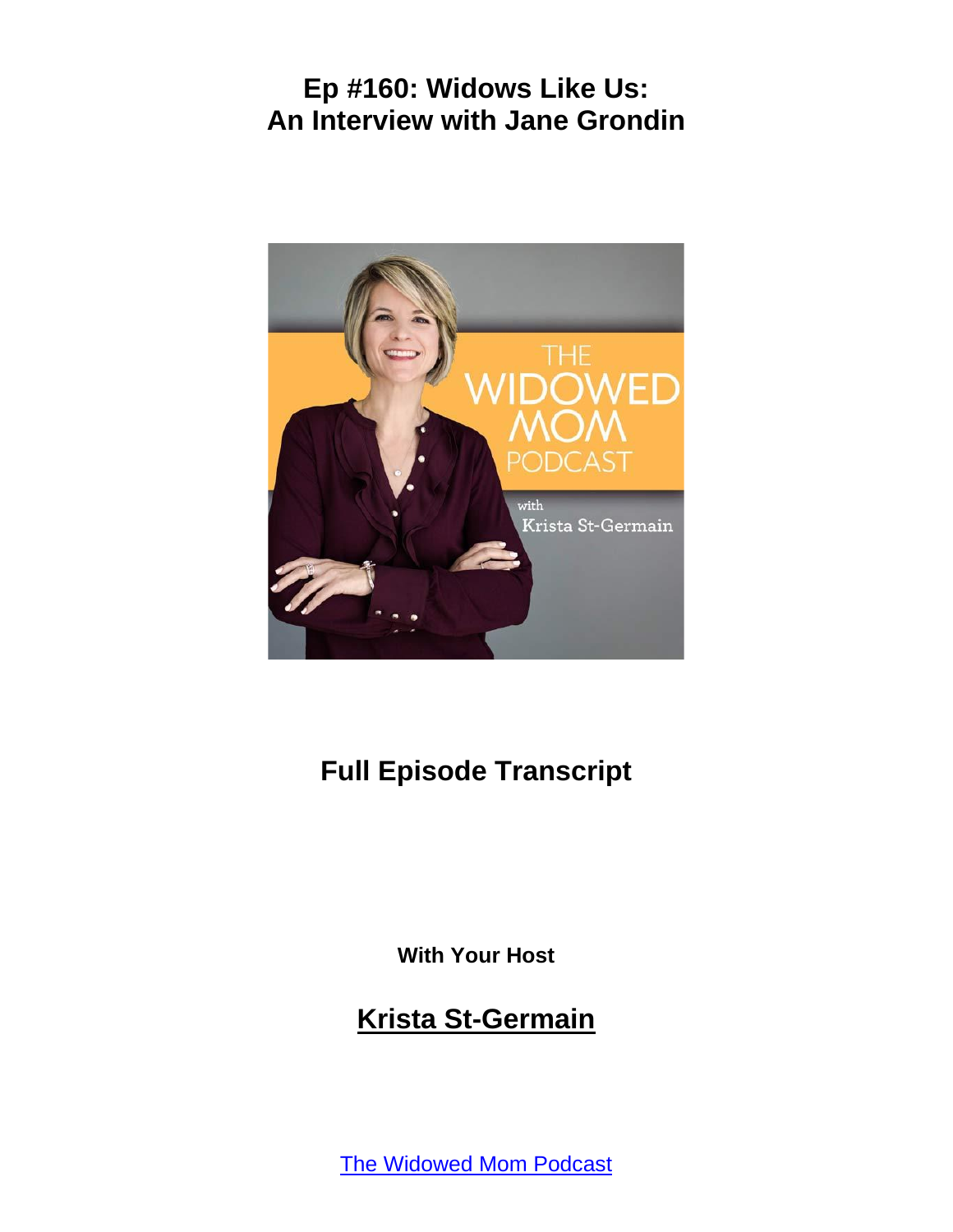

# **Full Episode Transcript**

**With Your Host**

## **Krista St-Germain**

[The Widowed Mom Podcast](https://coachingwithkrista.com/podcast)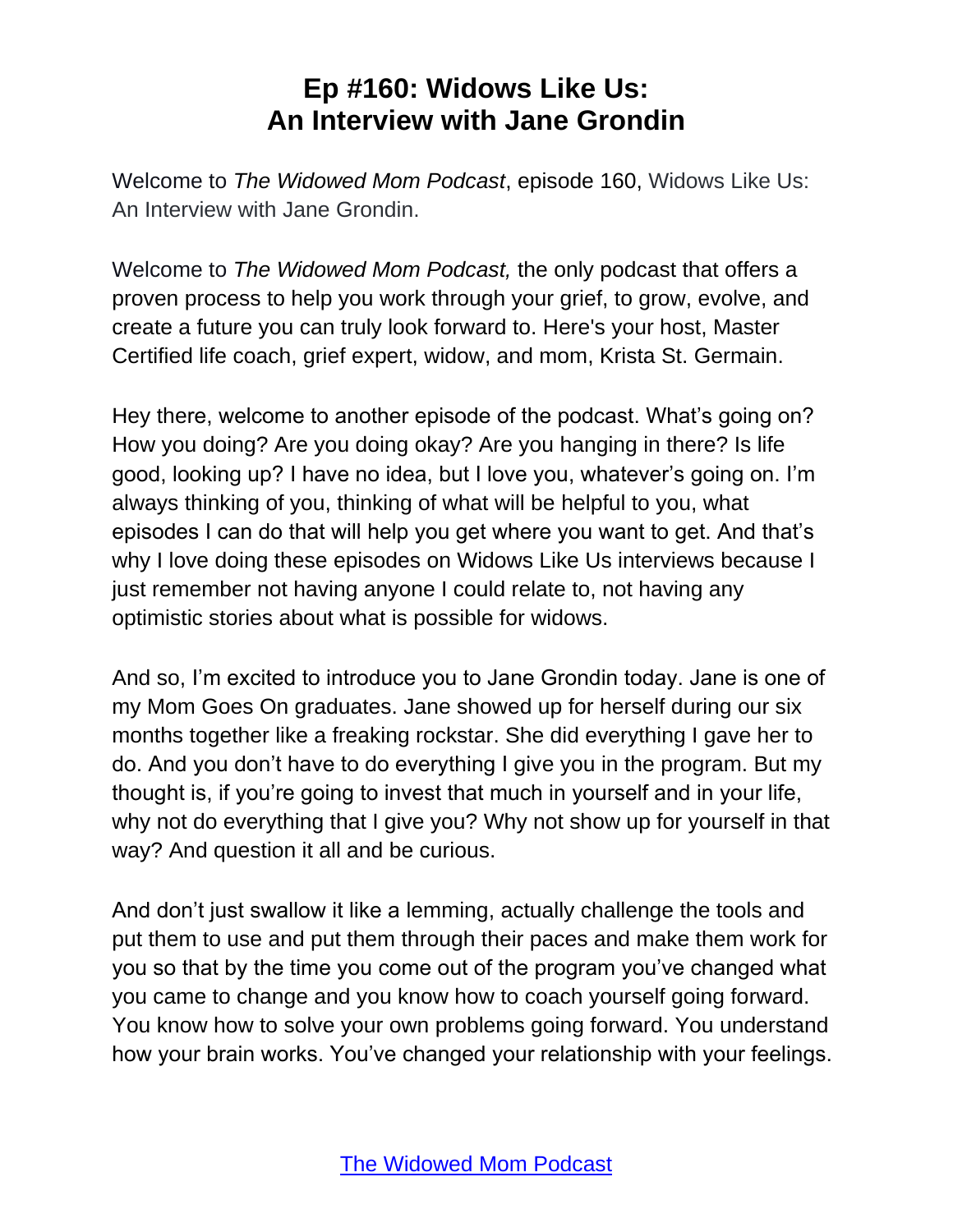Welcome to *The Widowed Mom Podcast*, episode 160, Widows Like Us: An Interview with Jane Grondin.

Welcome to *The Widowed Mom Podcast,* the only podcast that offers a proven process to help you work through your grief, to grow, evolve, and create a future you can truly look forward to. Here's your host, Master Certified life coach, grief expert, widow, and mom, Krista St. Germain.

Hey there, welcome to another episode of the podcast. What's going on? How you doing? Are you doing okay? Are you hanging in there? Is life good, looking up? I have no idea, but I love you, whatever's going on. I'm always thinking of you, thinking of what will be helpful to you, what episodes I can do that will help you get where you want to get. And that's why I love doing these episodes on Widows Like Us interviews because I just remember not having anyone I could relate to, not having any optimistic stories about what is possible for widows.

And so, I'm excited to introduce you to Jane Grondin today. Jane is one of my Mom Goes On graduates. Jane showed up for herself during our six months together like a freaking rockstar. She did everything I gave her to do. And you don't have to do everything I give you in the program. But my thought is, if you're going to invest that much in yourself and in your life, why not do everything that I give you? Why not show up for yourself in that way? And question it all and be curious.

And don't just swallow it like a lemming, actually challenge the tools and put them to use and put them through their paces and make them work for you so that by the time you come out of the program you've changed what you came to change and you know how to coach yourself going forward. You know how to solve your own problems going forward. You understand how your brain works. You've changed your relationship with your feelings.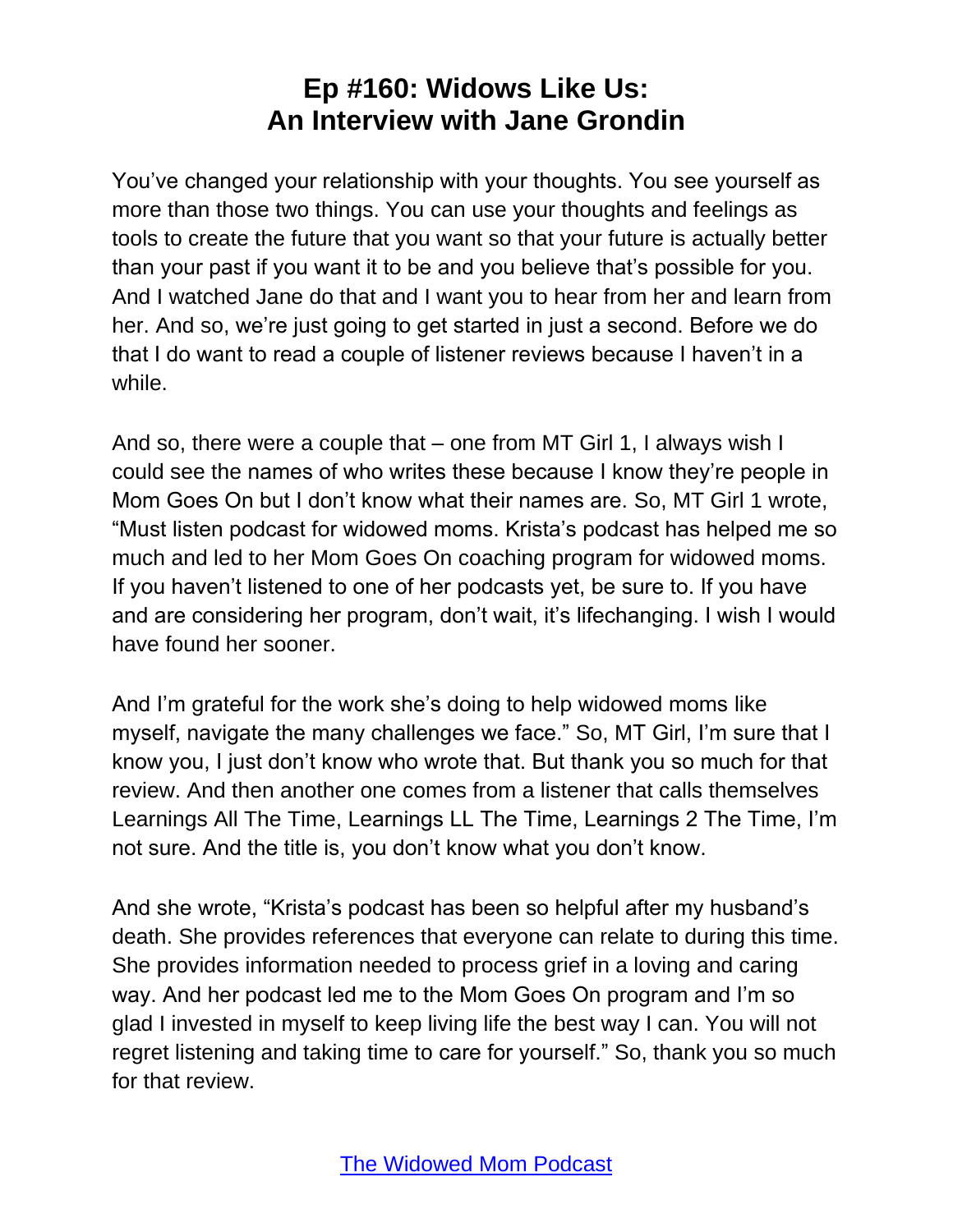You've changed your relationship with your thoughts. You see yourself as more than those two things. You can use your thoughts and feelings as tools to create the future that you want so that your future is actually better than your past if you want it to be and you believe that's possible for you. And I watched Jane do that and I want you to hear from her and learn from her. And so, we're just going to get started in just a second. Before we do that I do want to read a couple of listener reviews because I haven't in a while.

And so, there were a couple that – one from MT Girl 1, I always wish I could see the names of who writes these because I know they're people in Mom Goes On but I don't know what their names are. So, MT Girl 1 wrote, "Must listen podcast for widowed moms. Krista's podcast has helped me so much and led to her Mom Goes On coaching program for widowed moms. If you haven't listened to one of her podcasts yet, be sure to. If you have and are considering her program, don't wait, it's lifechanging. I wish I would have found her sooner.

And I'm grateful for the work she's doing to help widowed moms like myself, navigate the many challenges we face." So, MT Girl, I'm sure that I know you, I just don't know who wrote that. But thank you so much for that review. And then another one comes from a listener that calls themselves Learnings All The Time, Learnings LL The Time, Learnings 2 The Time, I'm not sure. And the title is, you don't know what you don't know.

And she wrote, "Krista's podcast has been so helpful after my husband's death. She provides references that everyone can relate to during this time. She provides information needed to process grief in a loving and caring way. And her podcast led me to the Mom Goes On program and I'm so glad I invested in myself to keep living life the best way I can. You will not regret listening and taking time to care for yourself." So, thank you so much for that review.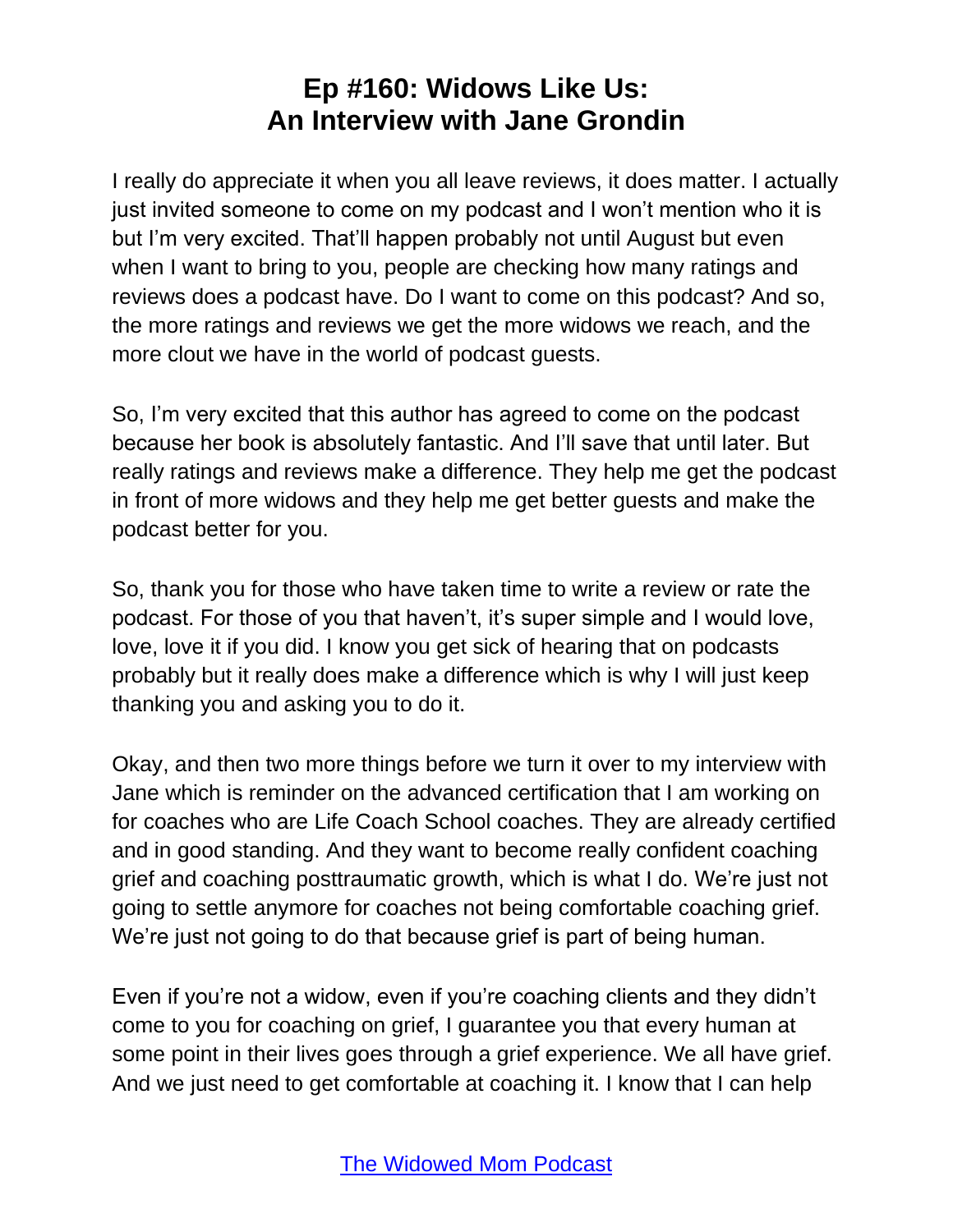I really do appreciate it when you all leave reviews, it does matter. I actually just invited someone to come on my podcast and I won't mention who it is but I'm very excited. That'll happen probably not until August but even when I want to bring to you, people are checking how many ratings and reviews does a podcast have. Do I want to come on this podcast? And so, the more ratings and reviews we get the more widows we reach, and the more clout we have in the world of podcast guests.

So, I'm very excited that this author has agreed to come on the podcast because her book is absolutely fantastic. And I'll save that until later. But really ratings and reviews make a difference. They help me get the podcast in front of more widows and they help me get better guests and make the podcast better for you.

So, thank you for those who have taken time to write a review or rate the podcast. For those of you that haven't, it's super simple and I would love, love, love it if you did. I know you get sick of hearing that on podcasts probably but it really does make a difference which is why I will just keep thanking you and asking you to do it.

Okay, and then two more things before we turn it over to my interview with Jane which is reminder on the advanced certification that I am working on for coaches who are Life Coach School coaches. They are already certified and in good standing. And they want to become really confident coaching grief and coaching posttraumatic growth, which is what I do. We're just not going to settle anymore for coaches not being comfortable coaching grief. We're just not going to do that because grief is part of being human.

Even if you're not a widow, even if you're coaching clients and they didn't come to you for coaching on grief, I guarantee you that every human at some point in their lives goes through a grief experience. We all have grief. And we just need to get comfortable at coaching it. I know that I can help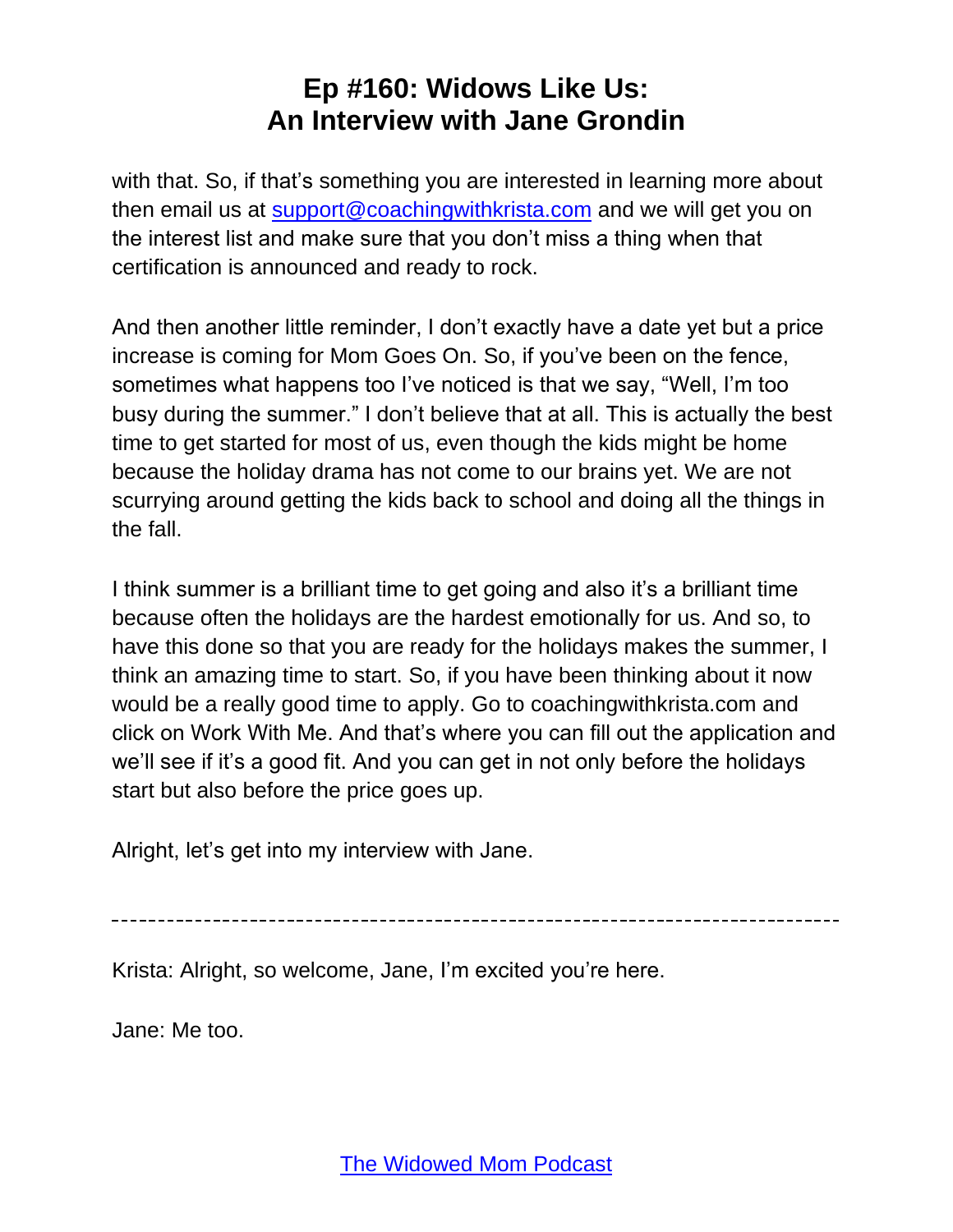with that. So, if that's something you are interested in learning more about then email us at [support@coachingwithkrista.com](mailto:support@coachingwithkrista.com) and we will get you on the interest list and make sure that you don't miss a thing when that certification is announced and ready to rock.

And then another little reminder, I don't exactly have a date yet but a price increase is coming for Mom Goes On. So, if you've been on the fence, sometimes what happens too I've noticed is that we say, "Well, I'm too busy during the summer." I don't believe that at all. This is actually the best time to get started for most of us, even though the kids might be home because the holiday drama has not come to our brains yet. We are not scurrying around getting the kids back to school and doing all the things in the fall.

I think summer is a brilliant time to get going and also it's a brilliant time because often the holidays are the hardest emotionally for us. And so, to have this done so that you are ready for the holidays makes the summer, I think an amazing time to start. So, if you have been thinking about it now would be a really good time to apply. Go to coachingwithkrista.com and click on Work With Me. And that's where you can fill out the application and we'll see if it's a good fit. And you can get in not only before the holidays start but also before the price goes up.

Alright, let's get into my interview with Jane.

Krista: Alright, so welcome, Jane, I'm excited you're here.

Jane: Me too.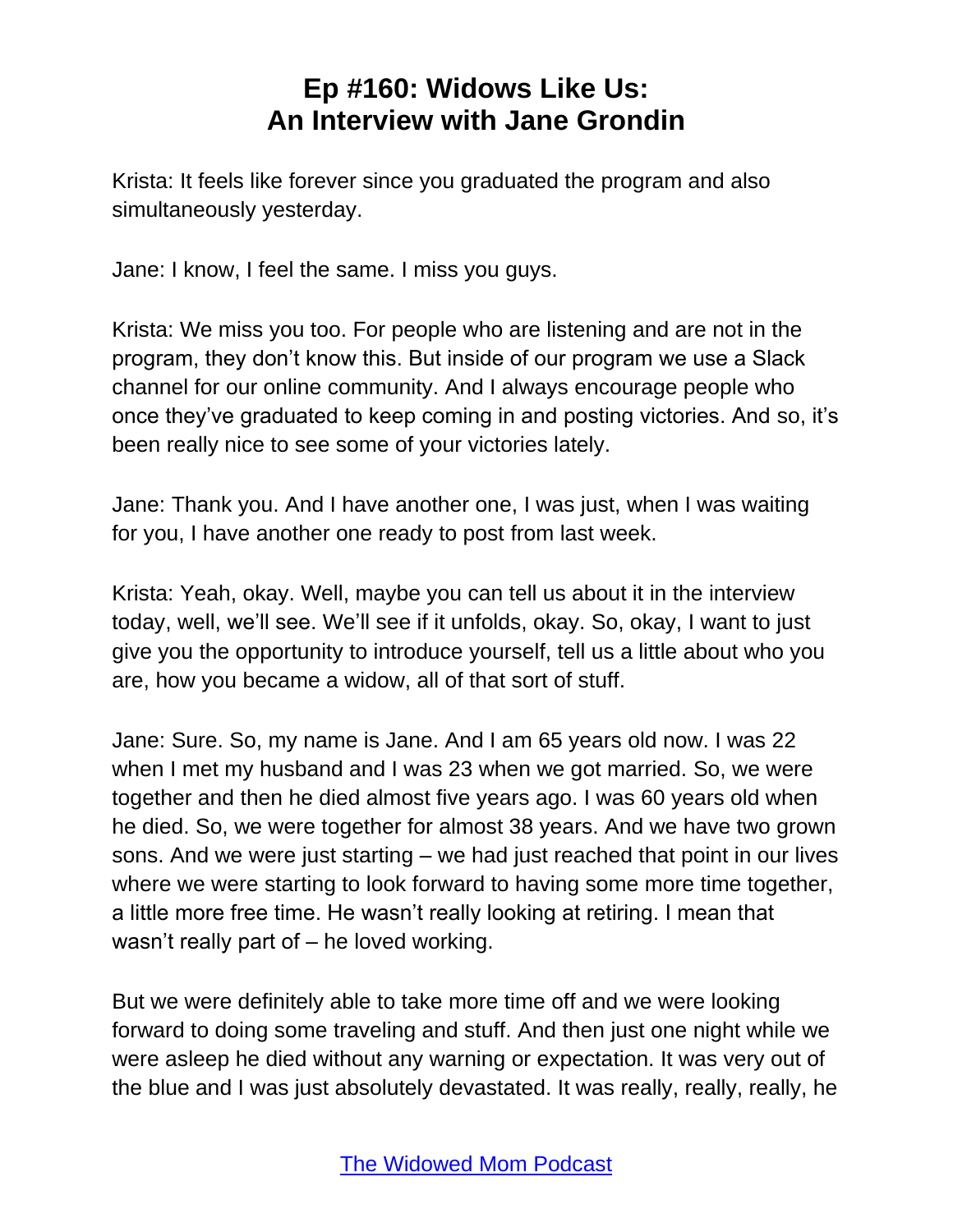Krista: It feels like forever since you graduated the program and also simultaneously yesterday.

Jane: I know, I feel the same. I miss you guys.

Krista: We miss you too. For people who are listening and are not in the program, they don't know this. But inside of our program we use a Slack channel for our online community. And I always encourage people who once they've graduated to keep coming in and posting victories. And so, it's been really nice to see some of your victories lately.

Jane: Thank you. And I have another one, I was just, when I was waiting for you, I have another one ready to post from last week.

Krista: Yeah, okay. Well, maybe you can tell us about it in the interview today, well, we'll see. We'll see if it unfolds, okay. So, okay, I want to just give you the opportunity to introduce yourself, tell us a little about who you are, how you became a widow, all of that sort of stuff.

Jane: Sure. So, my name is Jane. And I am 65 years old now. I was 22 when I met my husband and I was 23 when we got married. So, we were together and then he died almost five years ago. I was 60 years old when he died. So, we were together for almost 38 years. And we have two grown sons. And we were just starting – we had just reached that point in our lives where we were starting to look forward to having some more time together, a little more free time. He wasn't really looking at retiring. I mean that wasn't really part of – he loved working.

But we were definitely able to take more time off and we were looking forward to doing some traveling and stuff. And then just one night while we were asleep he died without any warning or expectation. It was very out of the blue and I was just absolutely devastated. It was really, really, really, he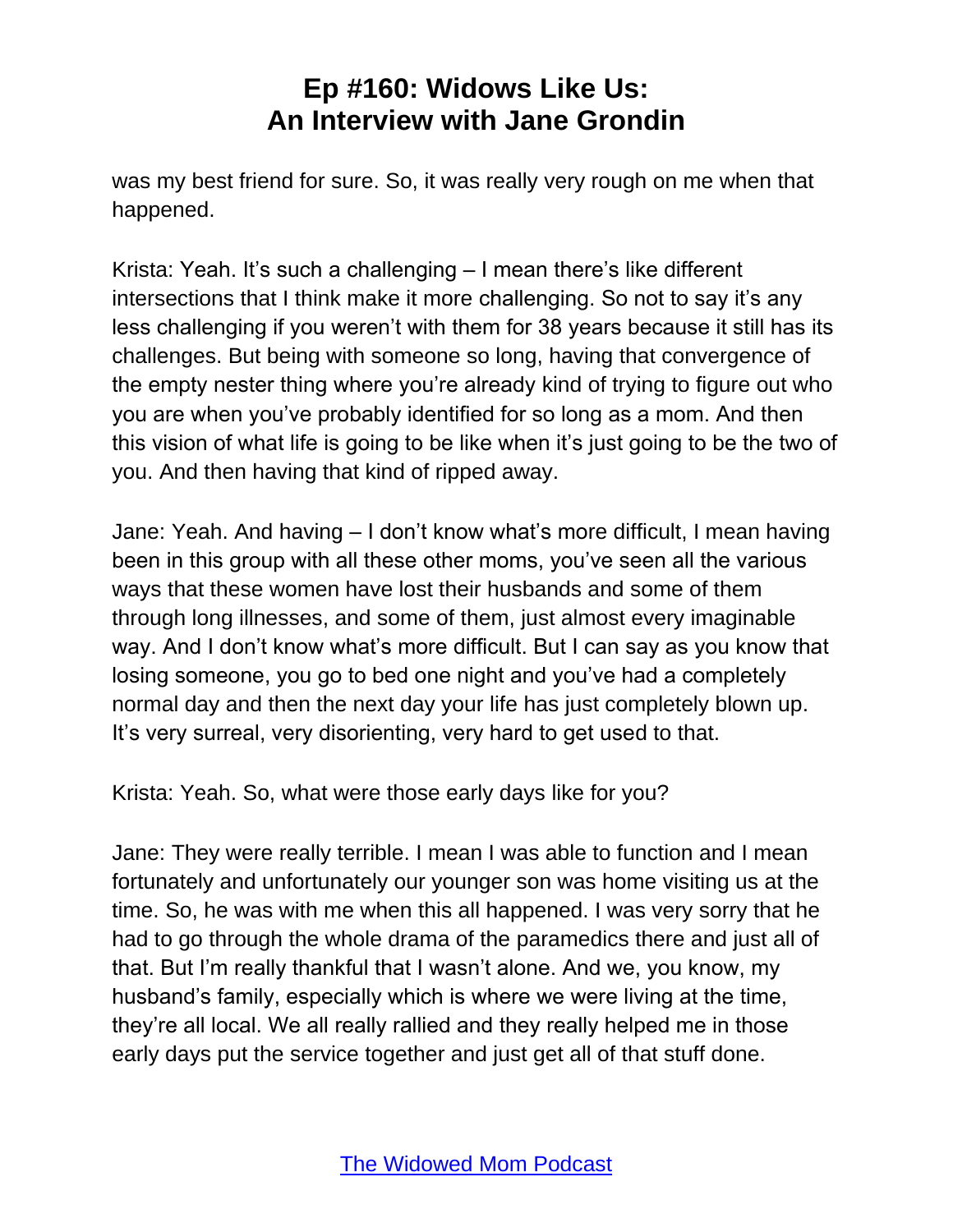was my best friend for sure. So, it was really very rough on me when that happened.

Krista: Yeah. It's such a challenging – I mean there's like different intersections that I think make it more challenging. So not to say it's any less challenging if you weren't with them for 38 years because it still has its challenges. But being with someone so long, having that convergence of the empty nester thing where you're already kind of trying to figure out who you are when you've probably identified for so long as a mom. And then this vision of what life is going to be like when it's just going to be the two of you. And then having that kind of ripped away.

Jane: Yeah. And having – I don't know what's more difficult, I mean having been in this group with all these other moms, you've seen all the various ways that these women have lost their husbands and some of them through long illnesses, and some of them, just almost every imaginable way. And I don't know what's more difficult. But I can say as you know that losing someone, you go to bed one night and you've had a completely normal day and then the next day your life has just completely blown up. It's very surreal, very disorienting, very hard to get used to that.

Krista: Yeah. So, what were those early days like for you?

Jane: They were really terrible. I mean I was able to function and I mean fortunately and unfortunately our younger son was home visiting us at the time. So, he was with me when this all happened. I was very sorry that he had to go through the whole drama of the paramedics there and just all of that. But I'm really thankful that I wasn't alone. And we, you know, my husband's family, especially which is where we were living at the time, they're all local. We all really rallied and they really helped me in those early days put the service together and just get all of that stuff done.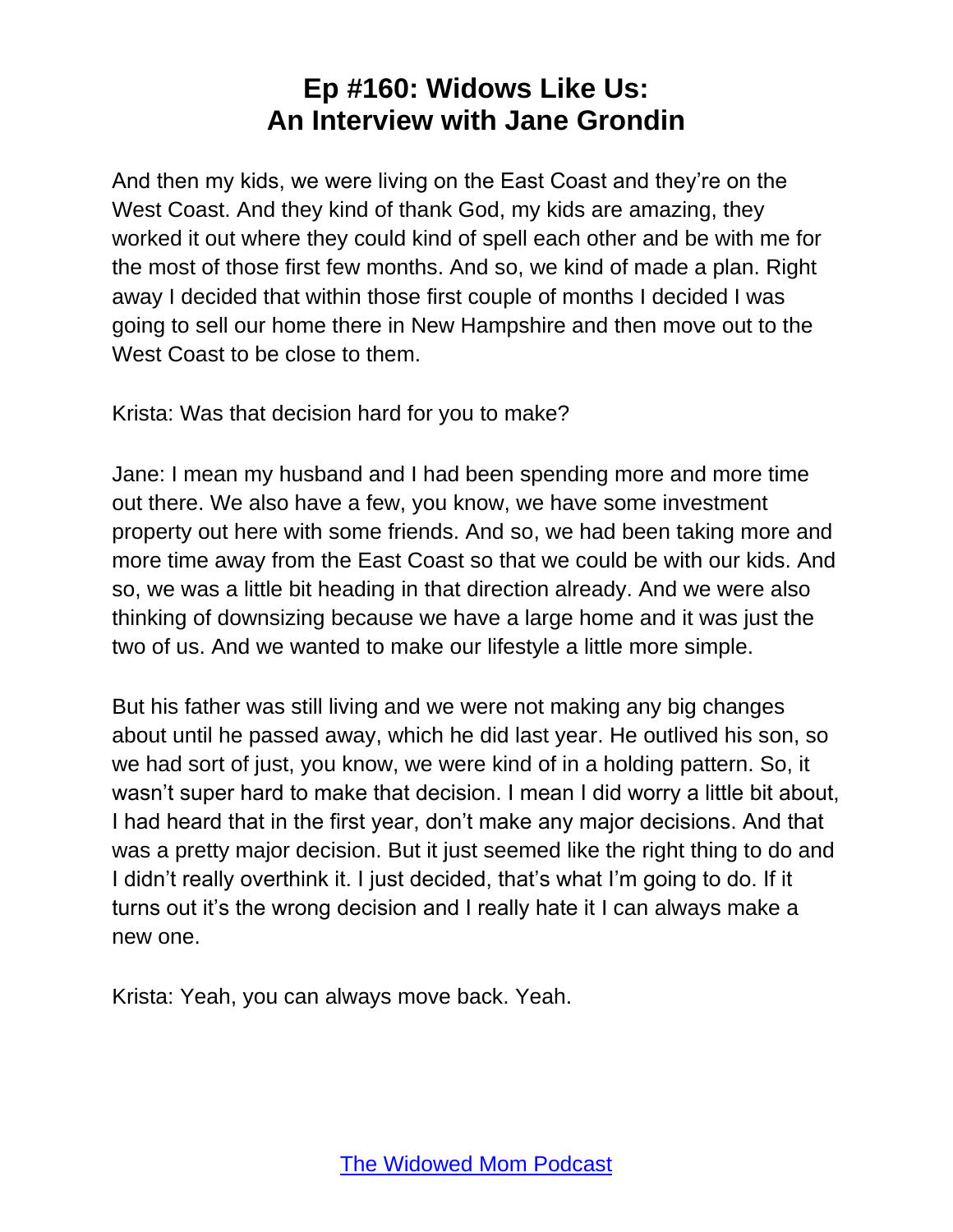And then my kids, we were living on the East Coast and they're on the West Coast. And they kind of thank God, my kids are amazing, they worked it out where they could kind of spell each other and be with me for the most of those first few months. And so, we kind of made a plan. Right away I decided that within those first couple of months I decided I was going to sell our home there in New Hampshire and then move out to the West Coast to be close to them.

Krista: Was that decision hard for you to make?

Jane: I mean my husband and I had been spending more and more time out there. We also have a few, you know, we have some investment property out here with some friends. And so, we had been taking more and more time away from the East Coast so that we could be with our kids. And so, we was a little bit heading in that direction already. And we were also thinking of downsizing because we have a large home and it was just the two of us. And we wanted to make our lifestyle a little more simple.

But his father was still living and we were not making any big changes about until he passed away, which he did last year. He outlived his son, so we had sort of just, you know, we were kind of in a holding pattern. So, it wasn't super hard to make that decision. I mean I did worry a little bit about, I had heard that in the first year, don't make any major decisions. And that was a pretty major decision. But it just seemed like the right thing to do and I didn't really overthink it. I just decided, that's what I'm going to do. If it turns out it's the wrong decision and I really hate it I can always make a new one.

Krista: Yeah, you can always move back. Yeah.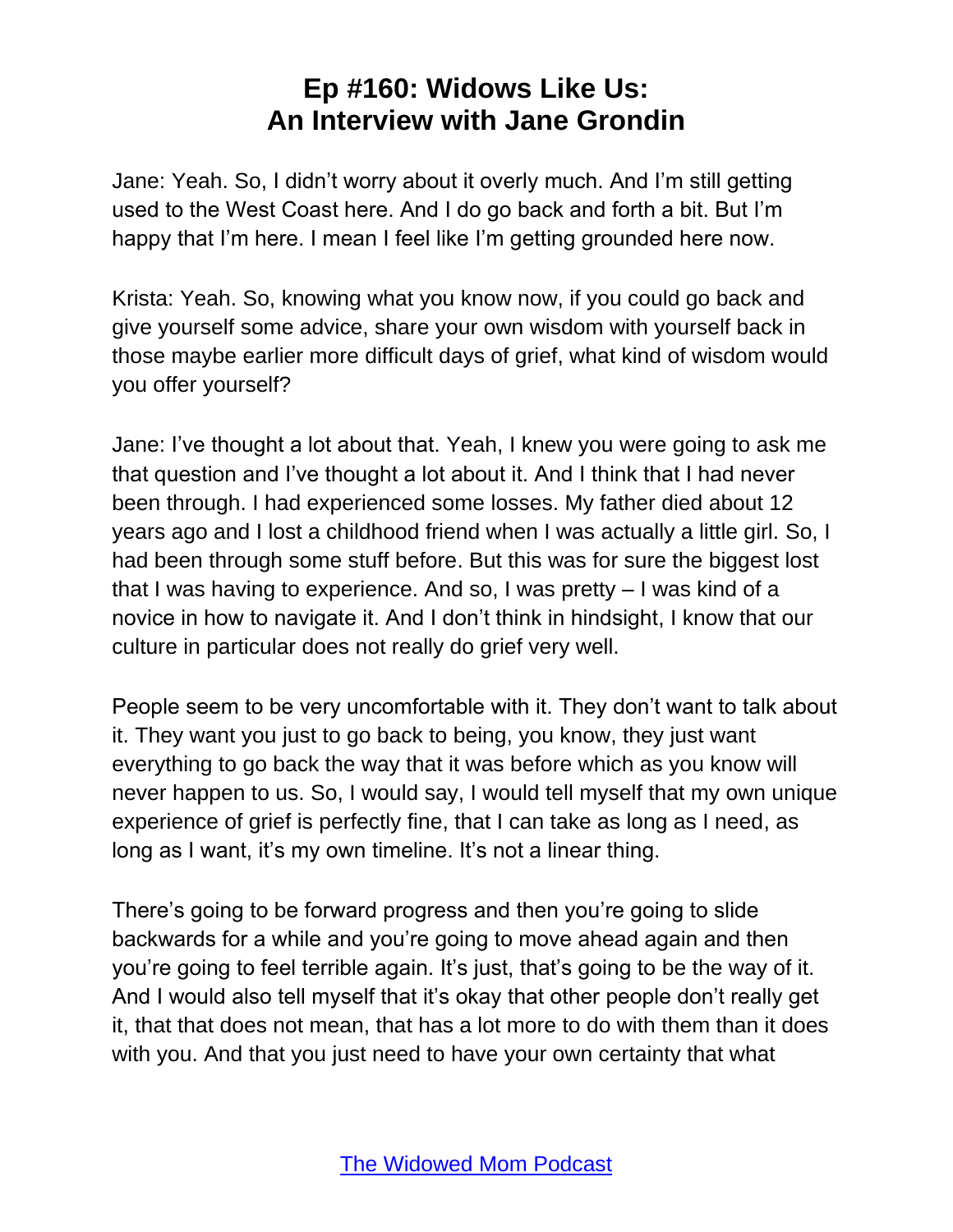Jane: Yeah. So, I didn't worry about it overly much. And I'm still getting used to the West Coast here. And I do go back and forth a bit. But I'm happy that I'm here. I mean I feel like I'm getting grounded here now.

Krista: Yeah. So, knowing what you know now, if you could go back and give yourself some advice, share your own wisdom with yourself back in those maybe earlier more difficult days of grief, what kind of wisdom would you offer yourself?

Jane: I've thought a lot about that. Yeah, I knew you were going to ask me that question and I've thought a lot about it. And I think that I had never been through. I had experienced some losses. My father died about 12 years ago and I lost a childhood friend when I was actually a little girl. So, I had been through some stuff before. But this was for sure the biggest lost that I was having to experience. And so, I was pretty – I was kind of a novice in how to navigate it. And I don't think in hindsight, I know that our culture in particular does not really do grief very well.

People seem to be very uncomfortable with it. They don't want to talk about it. They want you just to go back to being, you know, they just want everything to go back the way that it was before which as you know will never happen to us. So, I would say, I would tell myself that my own unique experience of grief is perfectly fine, that I can take as long as I need, as long as I want, it's my own timeline. It's not a linear thing.

There's going to be forward progress and then you're going to slide backwards for a while and you're going to move ahead again and then you're going to feel terrible again. It's just, that's going to be the way of it. And I would also tell myself that it's okay that other people don't really get it, that that does not mean, that has a lot more to do with them than it does with you. And that you just need to have your own certainty that what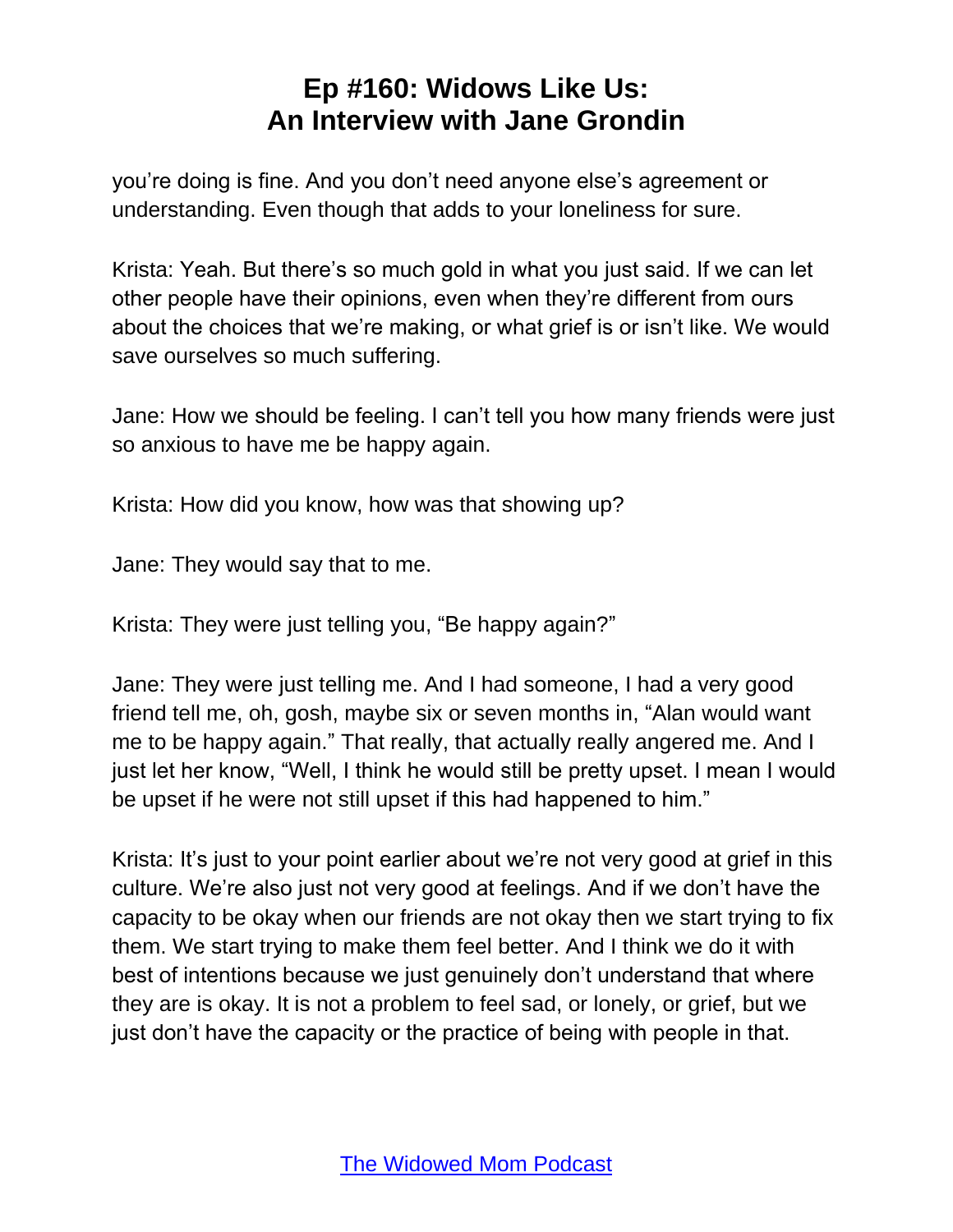you're doing is fine. And you don't need anyone else's agreement or understanding. Even though that adds to your loneliness for sure.

Krista: Yeah. But there's so much gold in what you just said. If we can let other people have their opinions, even when they're different from ours about the choices that we're making, or what grief is or isn't like. We would save ourselves so much suffering.

Jane: How we should be feeling. I can't tell you how many friends were just so anxious to have me be happy again.

Krista: How did you know, how was that showing up?

Jane: They would say that to me.

Krista: They were just telling you, "Be happy again?"

Jane: They were just telling me. And I had someone, I had a very good friend tell me, oh, gosh, maybe six or seven months in, "Alan would want me to be happy again." That really, that actually really angered me. And I just let her know, "Well, I think he would still be pretty upset. I mean I would be upset if he were not still upset if this had happened to him."

Krista: It's just to your point earlier about we're not very good at grief in this culture. We're also just not very good at feelings. And if we don't have the capacity to be okay when our friends are not okay then we start trying to fix them. We start trying to make them feel better. And I think we do it with best of intentions because we just genuinely don't understand that where they are is okay. It is not a problem to feel sad, or lonely, or grief, but we just don't have the capacity or the practice of being with people in that.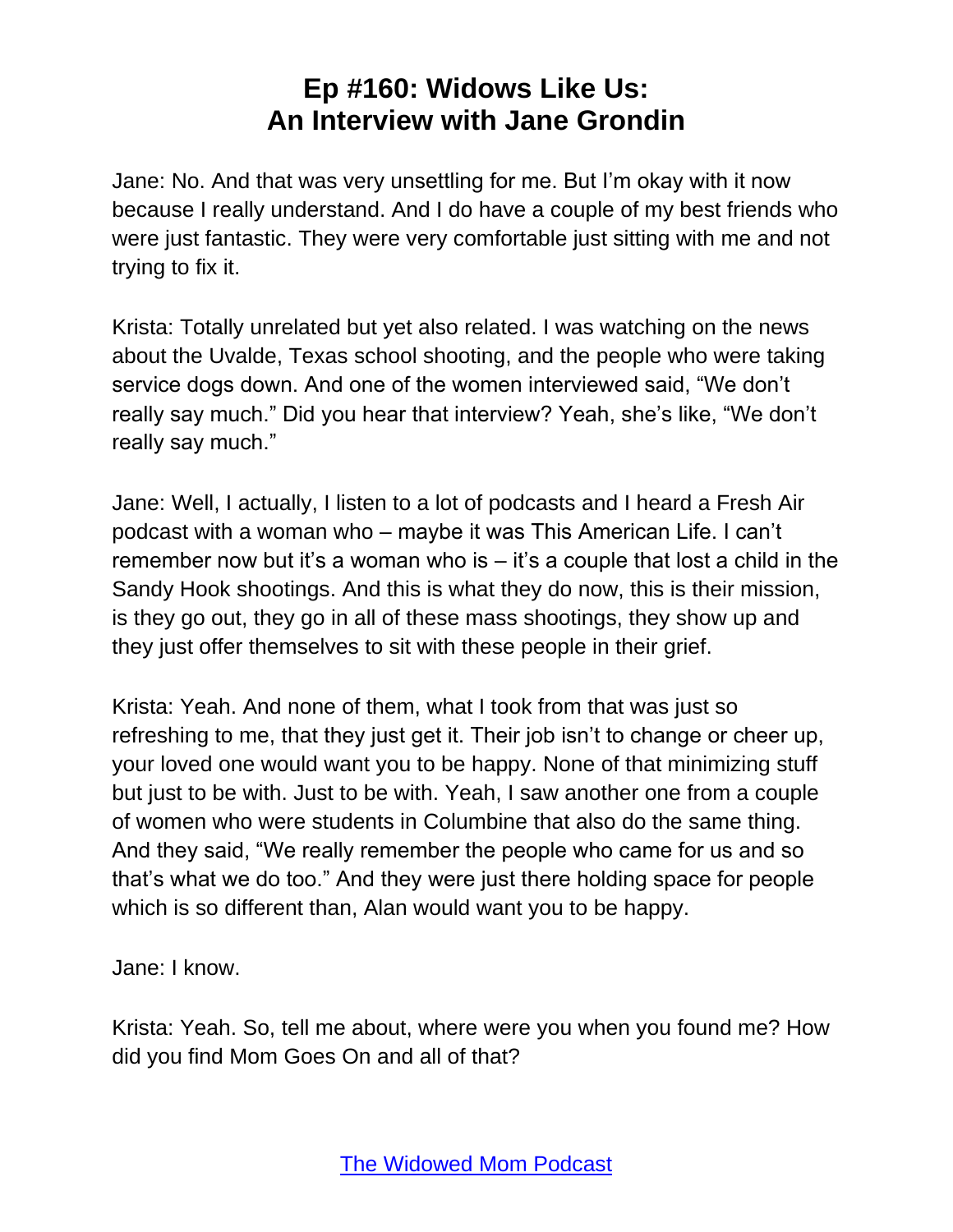Jane: No. And that was very unsettling for me. But I'm okay with it now because I really understand. And I do have a couple of my best friends who were just fantastic. They were very comfortable just sitting with me and not trying to fix it.

Krista: Totally unrelated but yet also related. I was watching on the news about the Uvalde, Texas school shooting, and the people who were taking service dogs down. And one of the women interviewed said, "We don't really say much." Did you hear that interview? Yeah, she's like, "We don't really say much."

Jane: Well, I actually, I listen to a lot of podcasts and I heard a Fresh Air podcast with a woman who – maybe it was This American Life. I can't remember now but it's a woman who is  $-$  it's a couple that lost a child in the Sandy Hook shootings. And this is what they do now, this is their mission, is they go out, they go in all of these mass shootings, they show up and they just offer themselves to sit with these people in their grief.

Krista: Yeah. And none of them, what I took from that was just so refreshing to me, that they just get it. Their job isn't to change or cheer up, your loved one would want you to be happy. None of that minimizing stuff but just to be with. Just to be with. Yeah, I saw another one from a couple of women who were students in Columbine that also do the same thing. And they said, "We really remember the people who came for us and so that's what we do too." And they were just there holding space for people which is so different than, Alan would want you to be happy.

Jane: I know.

Krista: Yeah. So, tell me about, where were you when you found me? How did you find Mom Goes On and all of that?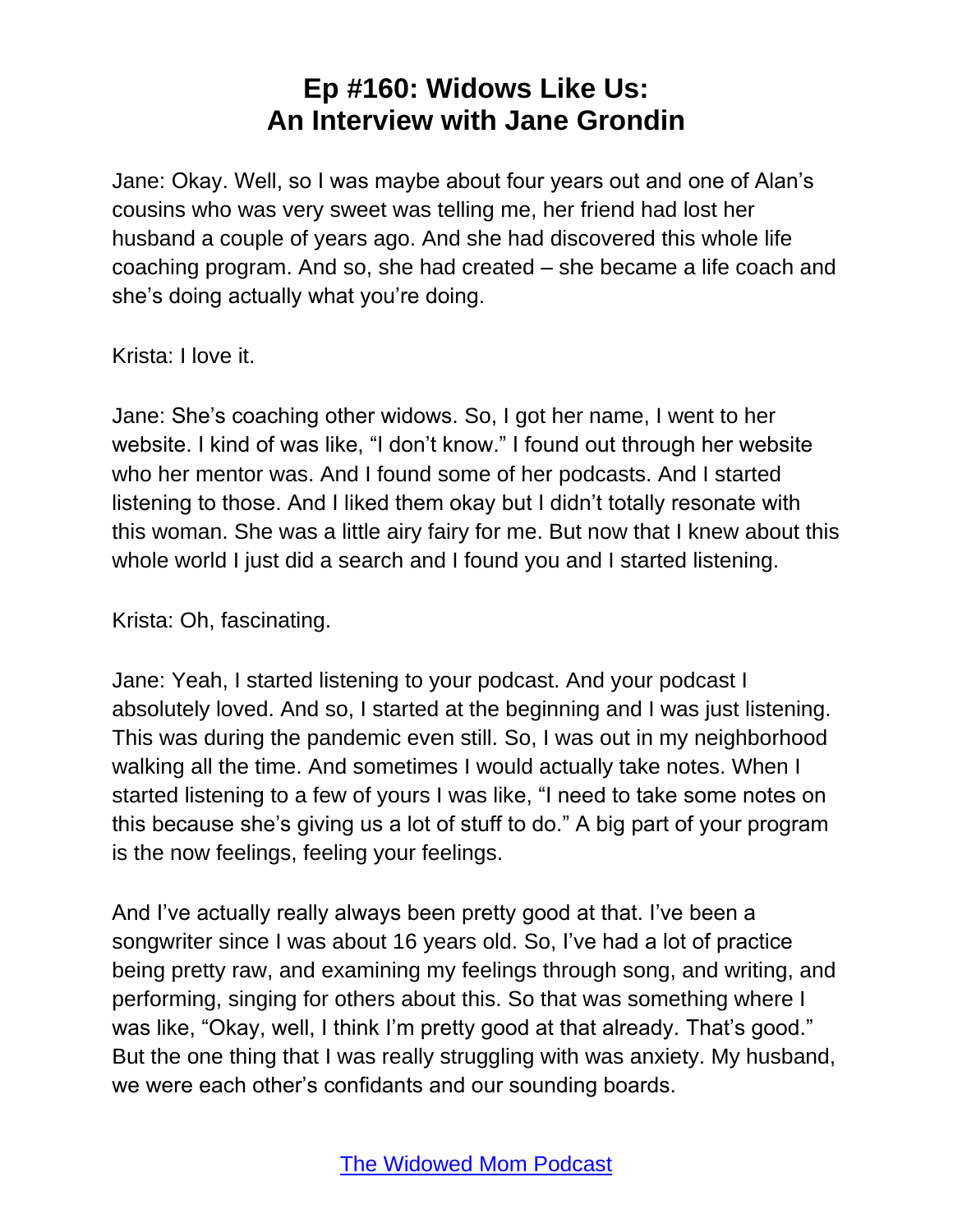Jane: Okay. Well, so I was maybe about four years out and one of Alan's cousins who was very sweet was telling me, her friend had lost her husband a couple of years ago. And she had discovered this whole life coaching program. And so, she had created – she became a life coach and she's doing actually what you're doing.

Krista: I love it.

Jane: She's coaching other widows. So, I got her name, I went to her website. I kind of was like, "I don't know." I found out through her website who her mentor was. And I found some of her podcasts. And I started listening to those. And I liked them okay but I didn't totally resonate with this woman. She was a little airy fairy for me. But now that I knew about this whole world I just did a search and I found you and I started listening.

Krista: Oh, fascinating.

Jane: Yeah, I started listening to your podcast. And your podcast I absolutely loved. And so, I started at the beginning and I was just listening. This was during the pandemic even still. So, I was out in my neighborhood walking all the time. And sometimes I would actually take notes. When I started listening to a few of yours I was like, "I need to take some notes on this because she's giving us a lot of stuff to do." A big part of your program is the now feelings, feeling your feelings.

And I've actually really always been pretty good at that. I've been a songwriter since I was about 16 years old. So, I've had a lot of practice being pretty raw, and examining my feelings through song, and writing, and performing, singing for others about this. So that was something where I was like, "Okay, well, I think I'm pretty good at that already. That's good." But the one thing that I was really struggling with was anxiety. My husband, we were each other's confidants and our sounding boards.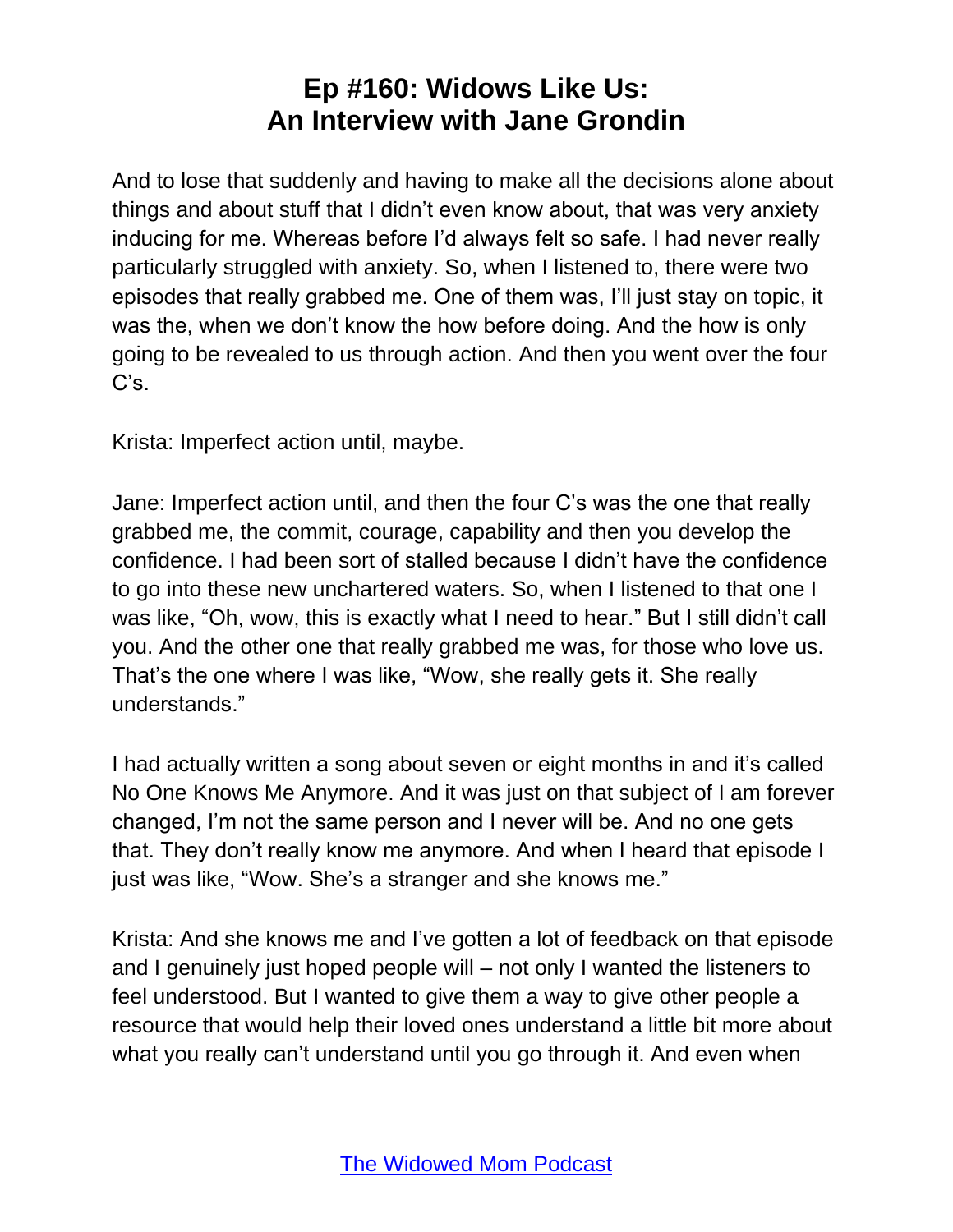And to lose that suddenly and having to make all the decisions alone about things and about stuff that I didn't even know about, that was very anxiety inducing for me. Whereas before I'd always felt so safe. I had never really particularly struggled with anxiety. So, when I listened to, there were two episodes that really grabbed me. One of them was, I'll just stay on topic, it was the, when we don't know the how before doing. And the how is only going to be revealed to us through action. And then you went over the four C's.

Krista: Imperfect action until, maybe.

Jane: Imperfect action until, and then the four C's was the one that really grabbed me, the commit, courage, capability and then you develop the confidence. I had been sort of stalled because I didn't have the confidence to go into these new unchartered waters. So, when I listened to that one I was like, "Oh, wow, this is exactly what I need to hear." But I still didn't call you. And the other one that really grabbed me was, for those who love us. That's the one where I was like, "Wow, she really gets it. She really understands."

I had actually written a song about seven or eight months in and it's called No One Knows Me Anymore. And it was just on that subject of I am forever changed, I'm not the same person and I never will be. And no one gets that. They don't really know me anymore. And when I heard that episode I just was like, "Wow. She's a stranger and she knows me."

Krista: And she knows me and I've gotten a lot of feedback on that episode and I genuinely just hoped people will – not only I wanted the listeners to feel understood. But I wanted to give them a way to give other people a resource that would help their loved ones understand a little bit more about what you really can't understand until you go through it. And even when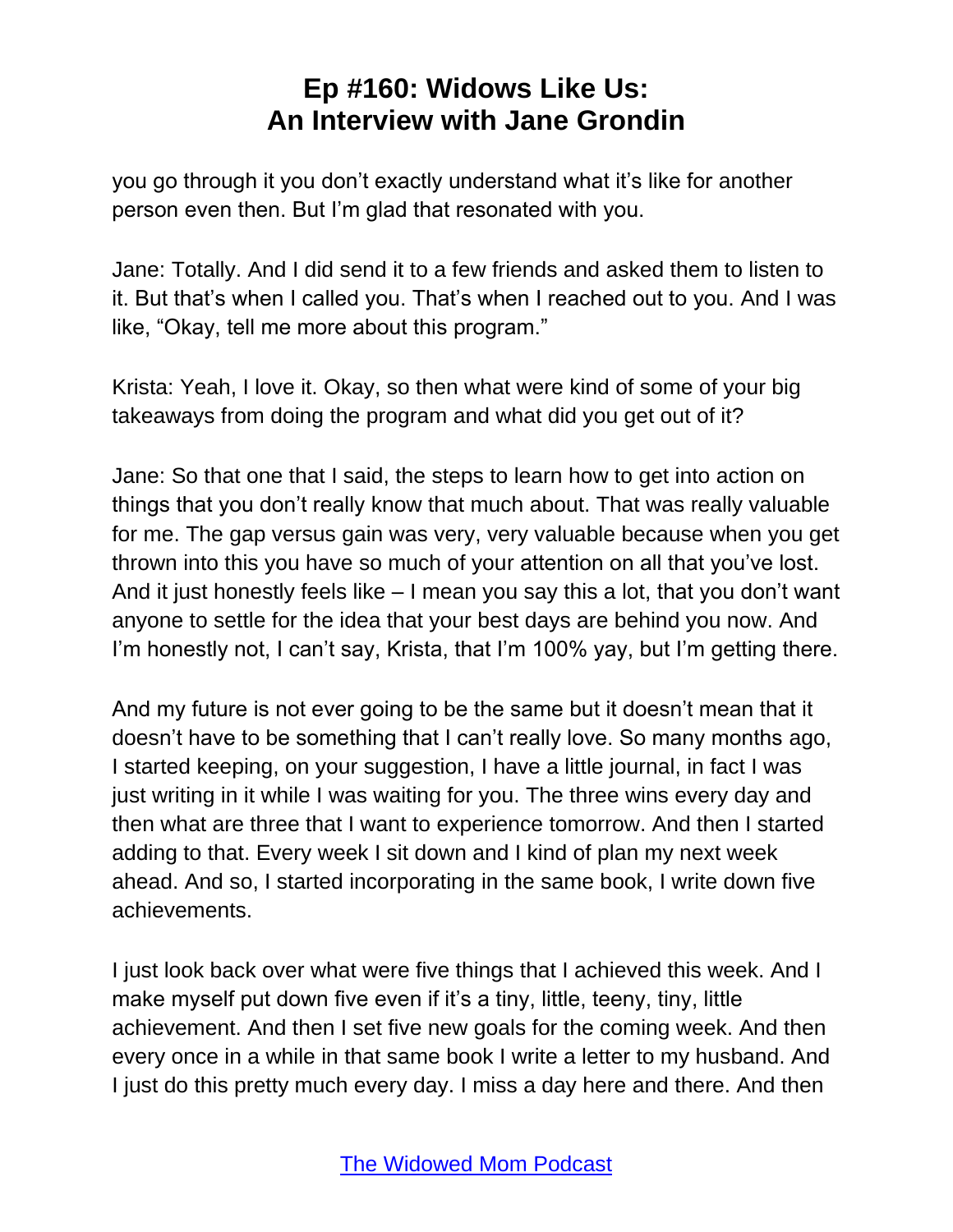you go through it you don't exactly understand what it's like for another person even then. But I'm glad that resonated with you.

Jane: Totally. And I did send it to a few friends and asked them to listen to it. But that's when I called you. That's when I reached out to you. And I was like, "Okay, tell me more about this program."

Krista: Yeah, I love it. Okay, so then what were kind of some of your big takeaways from doing the program and what did you get out of it?

Jane: So that one that I said, the steps to learn how to get into action on things that you don't really know that much about. That was really valuable for me. The gap versus gain was very, very valuable because when you get thrown into this you have so much of your attention on all that you've lost. And it just honestly feels like – I mean you say this a lot, that you don't want anyone to settle for the idea that your best days are behind you now. And I'm honestly not, I can't say, Krista, that I'm 100% yay, but I'm getting there.

And my future is not ever going to be the same but it doesn't mean that it doesn't have to be something that I can't really love. So many months ago, I started keeping, on your suggestion, I have a little journal, in fact I was just writing in it while I was waiting for you. The three wins every day and then what are three that I want to experience tomorrow. And then I started adding to that. Every week I sit down and I kind of plan my next week ahead. And so, I started incorporating in the same book, I write down five achievements.

I just look back over what were five things that I achieved this week. And I make myself put down five even if it's a tiny, little, teeny, tiny, little achievement. And then I set five new goals for the coming week. And then every once in a while in that same book I write a letter to my husband. And I just do this pretty much every day. I miss a day here and there. And then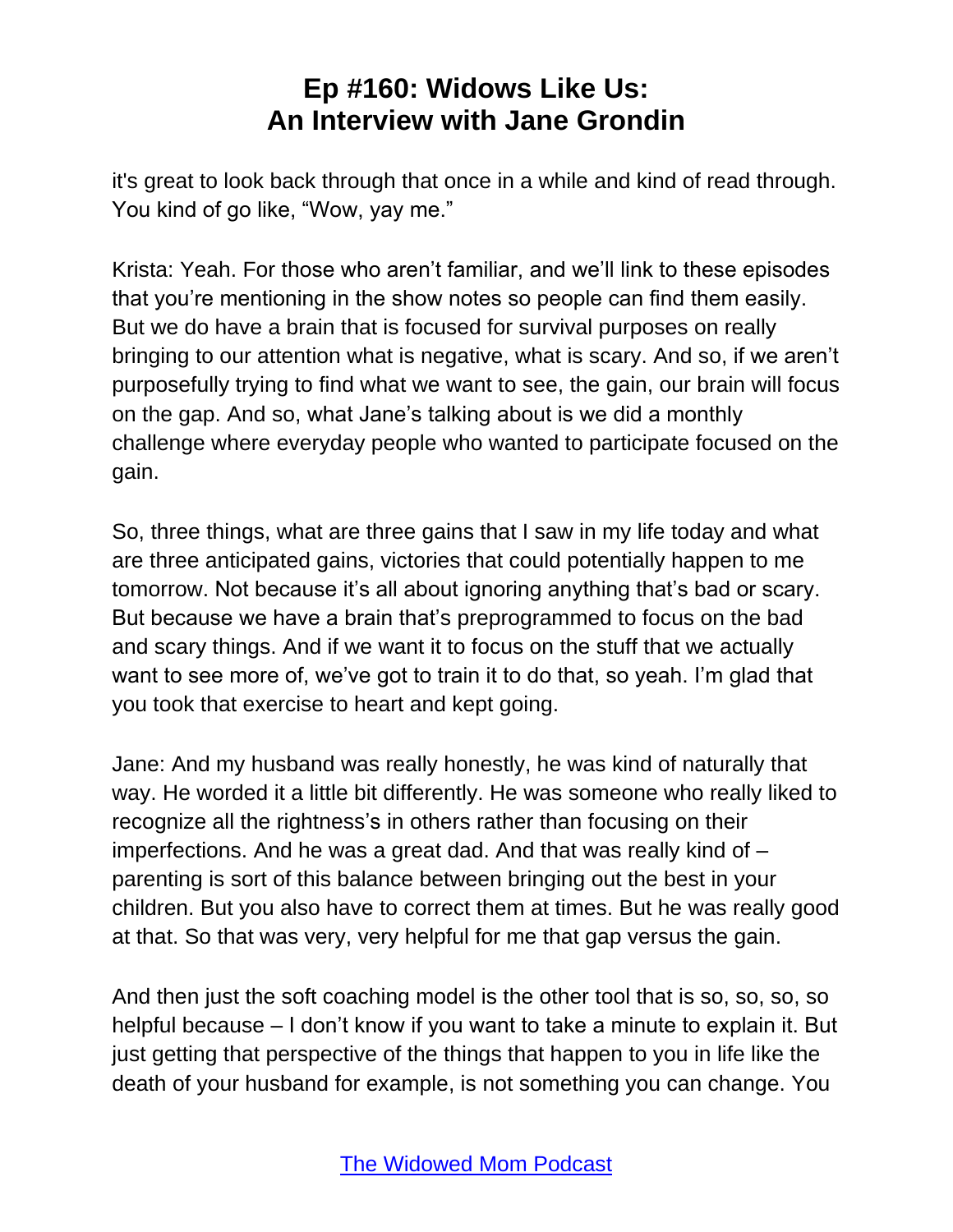it's great to look back through that once in a while and kind of read through. You kind of go like, "Wow, yay me."

Krista: Yeah. For those who aren't familiar, and we'll link to these episodes that you're mentioning in the show notes so people can find them easily. But we do have a brain that is focused for survival purposes on really bringing to our attention what is negative, what is scary. And so, if we aren't purposefully trying to find what we want to see, the gain, our brain will focus on the gap. And so, what Jane's talking about is we did a monthly challenge where everyday people who wanted to participate focused on the gain.

So, three things, what are three gains that I saw in my life today and what are three anticipated gains, victories that could potentially happen to me tomorrow. Not because it's all about ignoring anything that's bad or scary. But because we have a brain that's preprogrammed to focus on the bad and scary things. And if we want it to focus on the stuff that we actually want to see more of, we've got to train it to do that, so yeah. I'm glad that you took that exercise to heart and kept going.

Jane: And my husband was really honestly, he was kind of naturally that way. He worded it a little bit differently. He was someone who really liked to recognize all the rightness's in others rather than focusing on their imperfections. And he was a great dad. And that was really kind of – parenting is sort of this balance between bringing out the best in your children. But you also have to correct them at times. But he was really good at that. So that was very, very helpful for me that gap versus the gain.

And then just the soft coaching model is the other tool that is so, so, so, so helpful because – I don't know if you want to take a minute to explain it. But just getting that perspective of the things that happen to you in life like the death of your husband for example, is not something you can change. You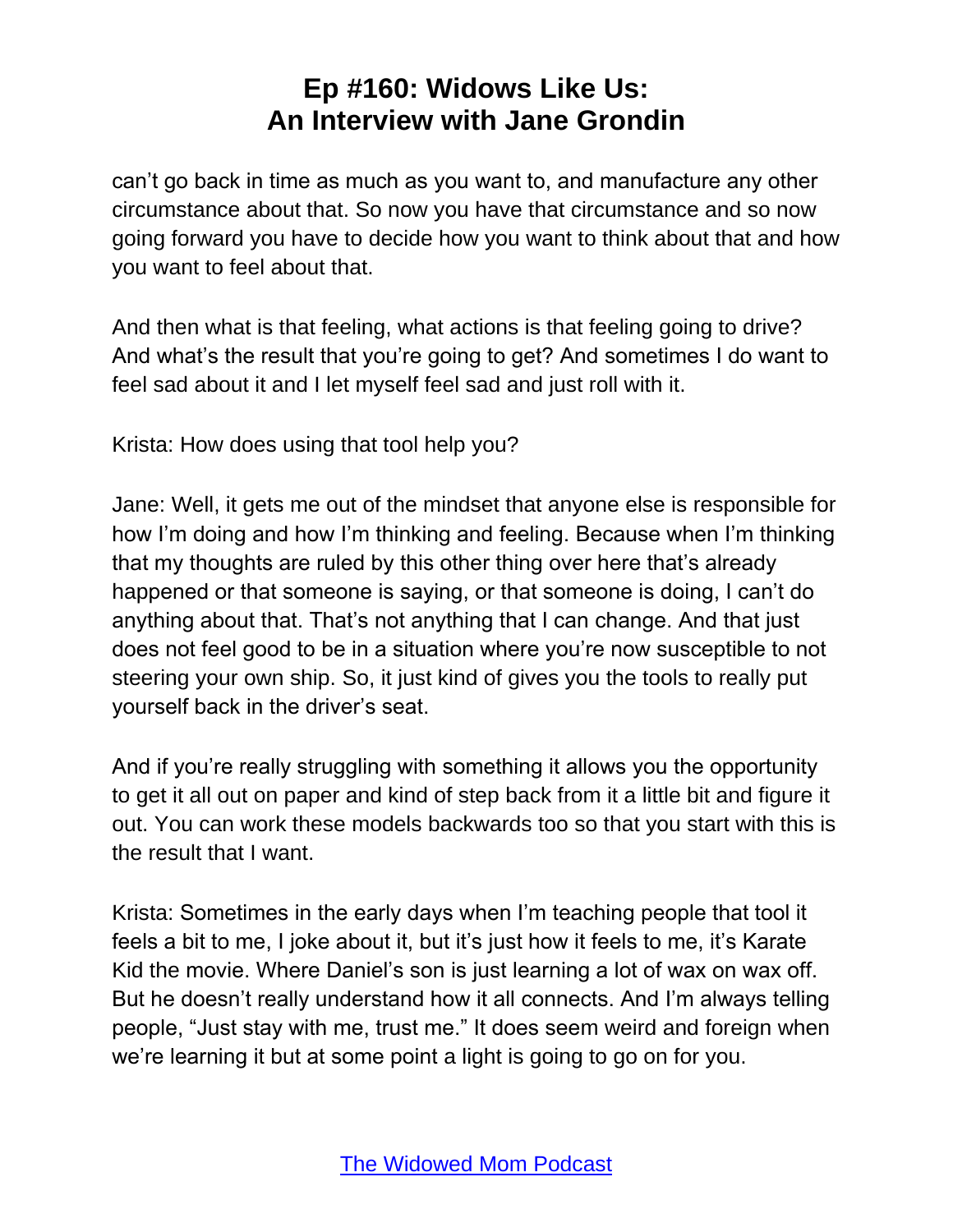can't go back in time as much as you want to, and manufacture any other circumstance about that. So now you have that circumstance and so now going forward you have to decide how you want to think about that and how you want to feel about that.

And then what is that feeling, what actions is that feeling going to drive? And what's the result that you're going to get? And sometimes I do want to feel sad about it and I let myself feel sad and just roll with it.

Krista: How does using that tool help you?

Jane: Well, it gets me out of the mindset that anyone else is responsible for how I'm doing and how I'm thinking and feeling. Because when I'm thinking that my thoughts are ruled by this other thing over here that's already happened or that someone is saying, or that someone is doing, I can't do anything about that. That's not anything that I can change. And that just does not feel good to be in a situation where you're now susceptible to not steering your own ship. So, it just kind of gives you the tools to really put yourself back in the driver's seat.

And if you're really struggling with something it allows you the opportunity to get it all out on paper and kind of step back from it a little bit and figure it out. You can work these models backwards too so that you start with this is the result that I want.

Krista: Sometimes in the early days when I'm teaching people that tool it feels a bit to me, I joke about it, but it's just how it feels to me, it's Karate Kid the movie. Where Daniel's son is just learning a lot of wax on wax off. But he doesn't really understand how it all connects. And I'm always telling people, "Just stay with me, trust me." It does seem weird and foreign when we're learning it but at some point a light is going to go on for you.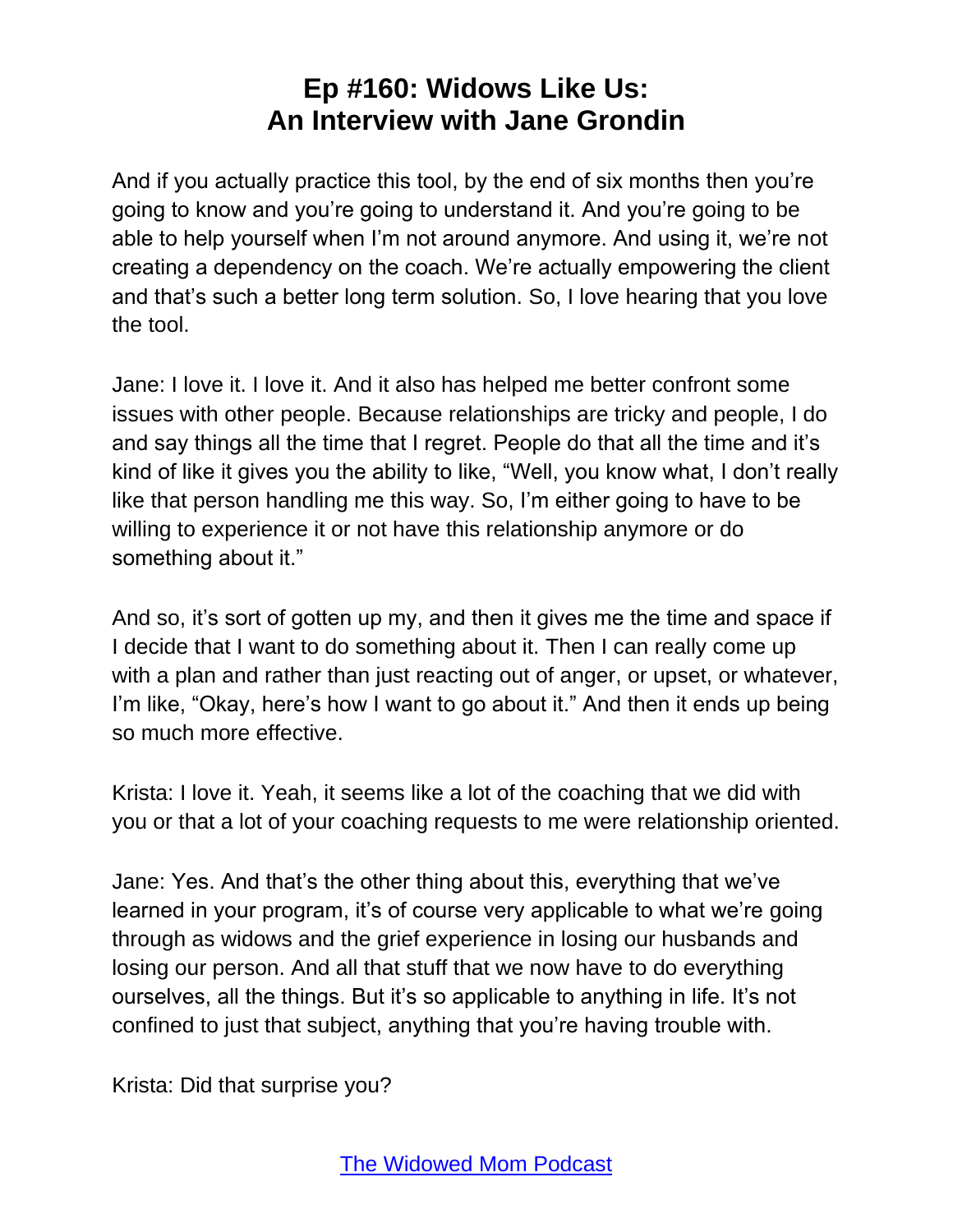And if you actually practice this tool, by the end of six months then you're going to know and you're going to understand it. And you're going to be able to help yourself when I'm not around anymore. And using it, we're not creating a dependency on the coach. We're actually empowering the client and that's such a better long term solution. So, I love hearing that you love the tool.

Jane: I love it. I love it. And it also has helped me better confront some issues with other people. Because relationships are tricky and people, I do and say things all the time that I regret. People do that all the time and it's kind of like it gives you the ability to like, "Well, you know what, I don't really like that person handling me this way. So, I'm either going to have to be willing to experience it or not have this relationship anymore or do something about it."

And so, it's sort of gotten up my, and then it gives me the time and space if I decide that I want to do something about it. Then I can really come up with a plan and rather than just reacting out of anger, or upset, or whatever, I'm like, "Okay, here's how I want to go about it." And then it ends up being so much more effective.

Krista: I love it. Yeah, it seems like a lot of the coaching that we did with you or that a lot of your coaching requests to me were relationship oriented.

Jane: Yes. And that's the other thing about this, everything that we've learned in your program, it's of course very applicable to what we're going through as widows and the grief experience in losing our husbands and losing our person. And all that stuff that we now have to do everything ourselves, all the things. But it's so applicable to anything in life. It's not confined to just that subject, anything that you're having trouble with.

Krista: Did that surprise you?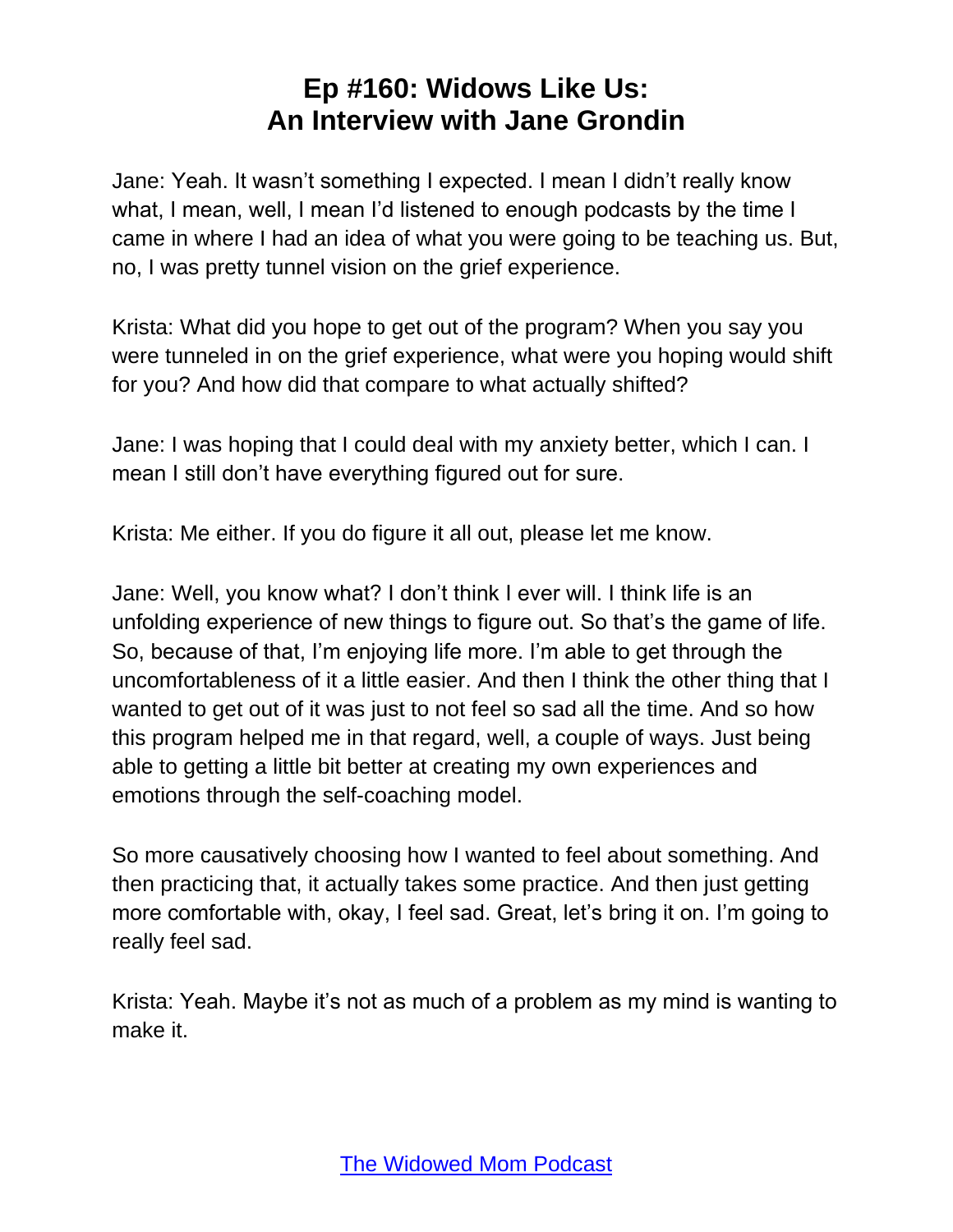Jane: Yeah. It wasn't something I expected. I mean I didn't really know what, I mean, well, I mean I'd listened to enough podcasts by the time I came in where I had an idea of what you were going to be teaching us. But, no, I was pretty tunnel vision on the grief experience.

Krista: What did you hope to get out of the program? When you say you were tunneled in on the grief experience, what were you hoping would shift for you? And how did that compare to what actually shifted?

Jane: I was hoping that I could deal with my anxiety better, which I can. I mean I still don't have everything figured out for sure.

Krista: Me either. If you do figure it all out, please let me know.

Jane: Well, you know what? I don't think I ever will. I think life is an unfolding experience of new things to figure out. So that's the game of life. So, because of that, I'm enjoying life more. I'm able to get through the uncomfortableness of it a little easier. And then I think the other thing that I wanted to get out of it was just to not feel so sad all the time. And so how this program helped me in that regard, well, a couple of ways. Just being able to getting a little bit better at creating my own experiences and emotions through the self-coaching model.

So more causatively choosing how I wanted to feel about something. And then practicing that, it actually takes some practice. And then just getting more comfortable with, okay, I feel sad. Great, let's bring it on. I'm going to really feel sad.

Krista: Yeah. Maybe it's not as much of a problem as my mind is wanting to make it.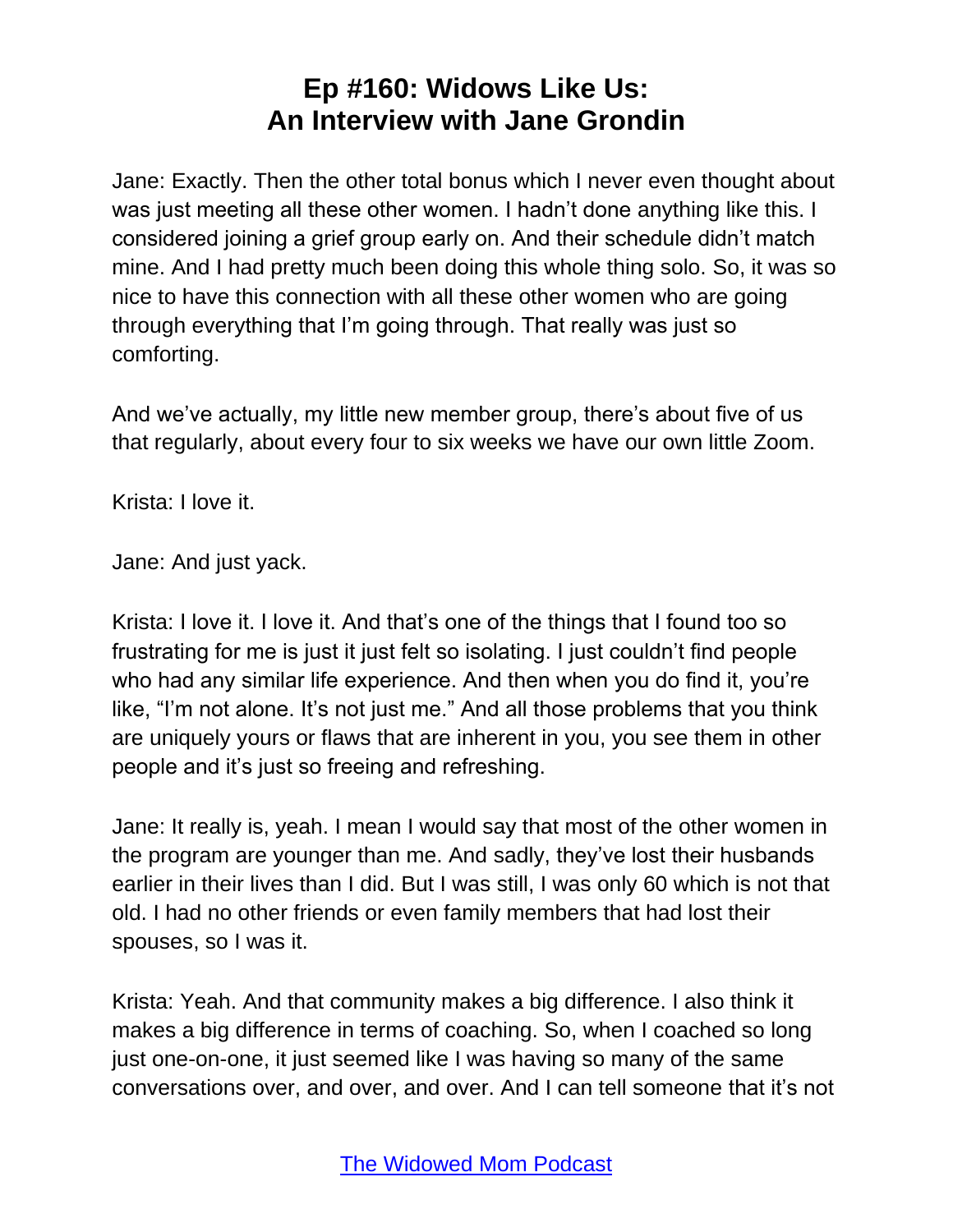Jane: Exactly. Then the other total bonus which I never even thought about was just meeting all these other women. I hadn't done anything like this. I considered joining a grief group early on. And their schedule didn't match mine. And I had pretty much been doing this whole thing solo. So, it was so nice to have this connection with all these other women who are going through everything that I'm going through. That really was just so comforting.

And we've actually, my little new member group, there's about five of us that regularly, about every four to six weeks we have our own little Zoom.

Krista: I love it.

Jane: And just yack.

Krista: I love it. I love it. And that's one of the things that I found too so frustrating for me is just it just felt so isolating. I just couldn't find people who had any similar life experience. And then when you do find it, you're like, "I'm not alone. It's not just me." And all those problems that you think are uniquely yours or flaws that are inherent in you, you see them in other people and it's just so freeing and refreshing.

Jane: It really is, yeah. I mean I would say that most of the other women in the program are younger than me. And sadly, they've lost their husbands earlier in their lives than I did. But I was still, I was only 60 which is not that old. I had no other friends or even family members that had lost their spouses, so I was it.

Krista: Yeah. And that community makes a big difference. I also think it makes a big difference in terms of coaching. So, when I coached so long just one-on-one, it just seemed like I was having so many of the same conversations over, and over, and over. And I can tell someone that it's not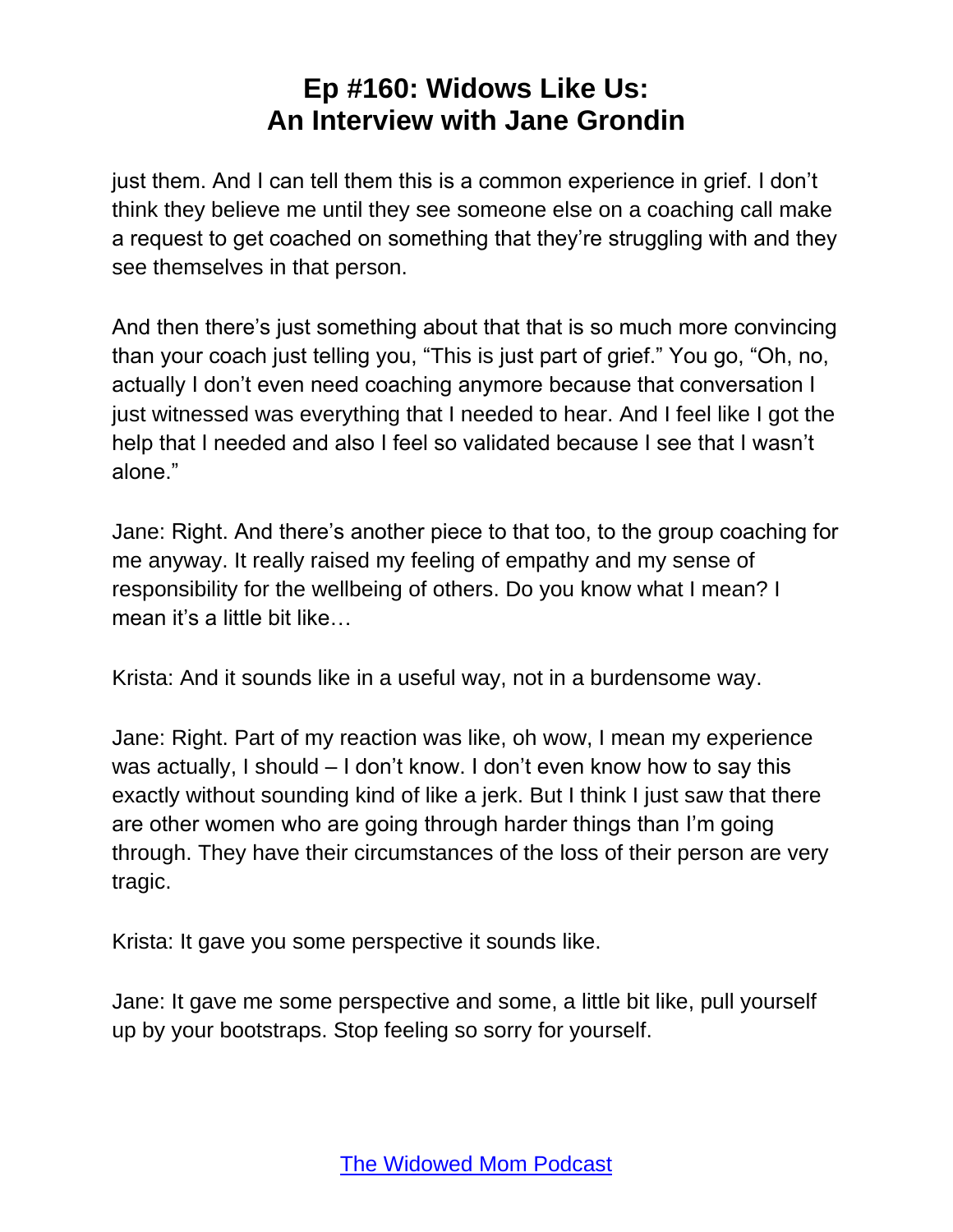just them. And I can tell them this is a common experience in grief. I don't think they believe me until they see someone else on a coaching call make a request to get coached on something that they're struggling with and they see themselves in that person.

And then there's just something about that that is so much more convincing than your coach just telling you, "This is just part of grief." You go, "Oh, no, actually I don't even need coaching anymore because that conversation I just witnessed was everything that I needed to hear. And I feel like I got the help that I needed and also I feel so validated because I see that I wasn't alone."

Jane: Right. And there's another piece to that too, to the group coaching for me anyway. It really raised my feeling of empathy and my sense of responsibility for the wellbeing of others. Do you know what I mean? I mean it's a little bit like…

Krista: And it sounds like in a useful way, not in a burdensome way.

Jane: Right. Part of my reaction was like, oh wow, I mean my experience was actually, I should – I don't know. I don't even know how to say this exactly without sounding kind of like a jerk. But I think I just saw that there are other women who are going through harder things than I'm going through. They have their circumstances of the loss of their person are very tragic.

Krista: It gave you some perspective it sounds like.

Jane: It gave me some perspective and some, a little bit like, pull yourself up by your bootstraps. Stop feeling so sorry for yourself.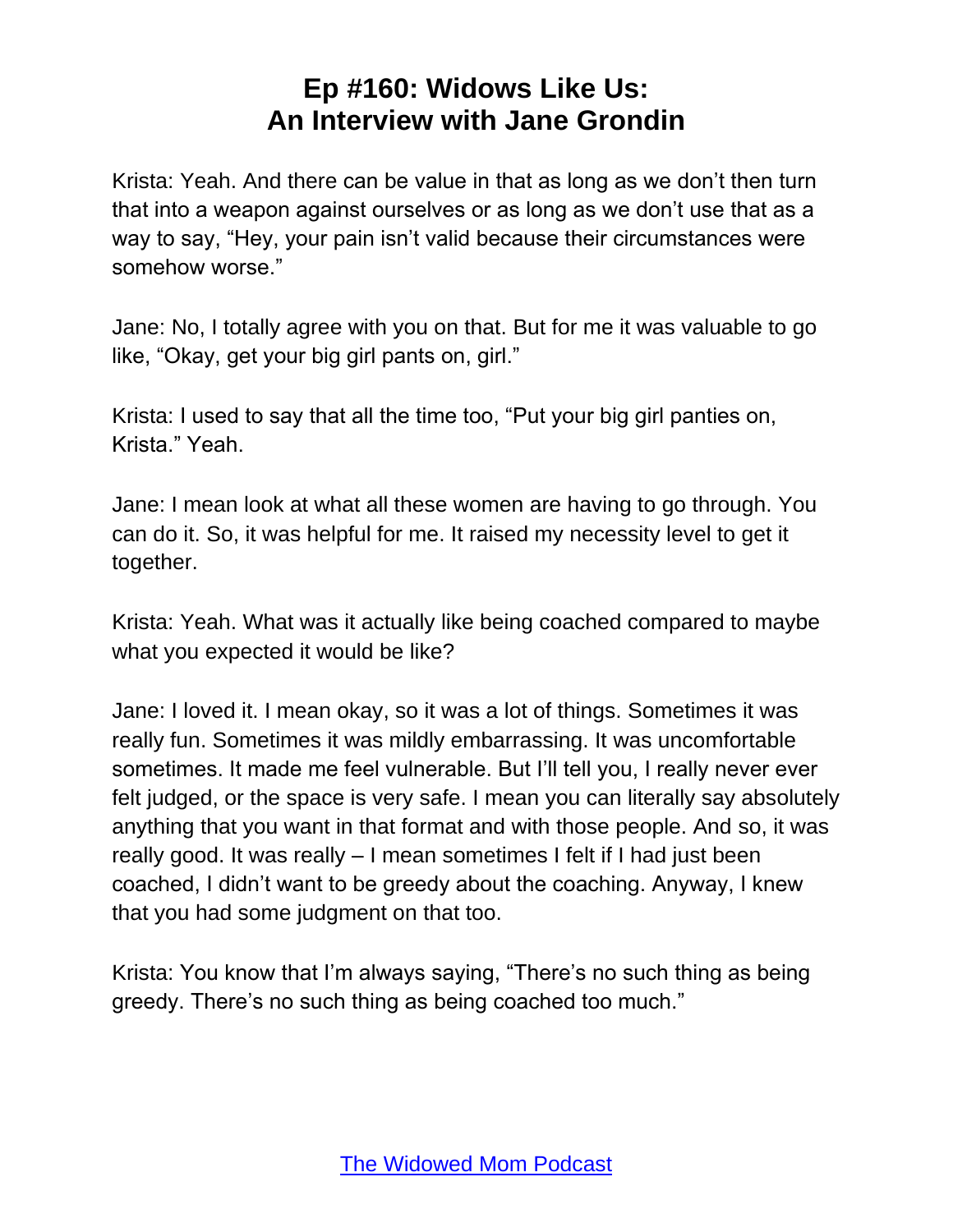Krista: Yeah. And there can be value in that as long as we don't then turn that into a weapon against ourselves or as long as we don't use that as a way to say, "Hey, your pain isn't valid because their circumstances were somehow worse."

Jane: No, I totally agree with you on that. But for me it was valuable to go like, "Okay, get your big girl pants on, girl."

Krista: I used to say that all the time too, "Put your big girl panties on, Krista." Yeah.

Jane: I mean look at what all these women are having to go through. You can do it. So, it was helpful for me. It raised my necessity level to get it together.

Krista: Yeah. What was it actually like being coached compared to maybe what you expected it would be like?

Jane: I loved it. I mean okay, so it was a lot of things. Sometimes it was really fun. Sometimes it was mildly embarrassing. It was uncomfortable sometimes. It made me feel vulnerable. But I'll tell you, I really never ever felt judged, or the space is very safe. I mean you can literally say absolutely anything that you want in that format and with those people. And so, it was really good. It was really – I mean sometimes I felt if I had just been coached, I didn't want to be greedy about the coaching. Anyway, I knew that you had some judgment on that too.

Krista: You know that I'm always saying, "There's no such thing as being greedy. There's no such thing as being coached too much."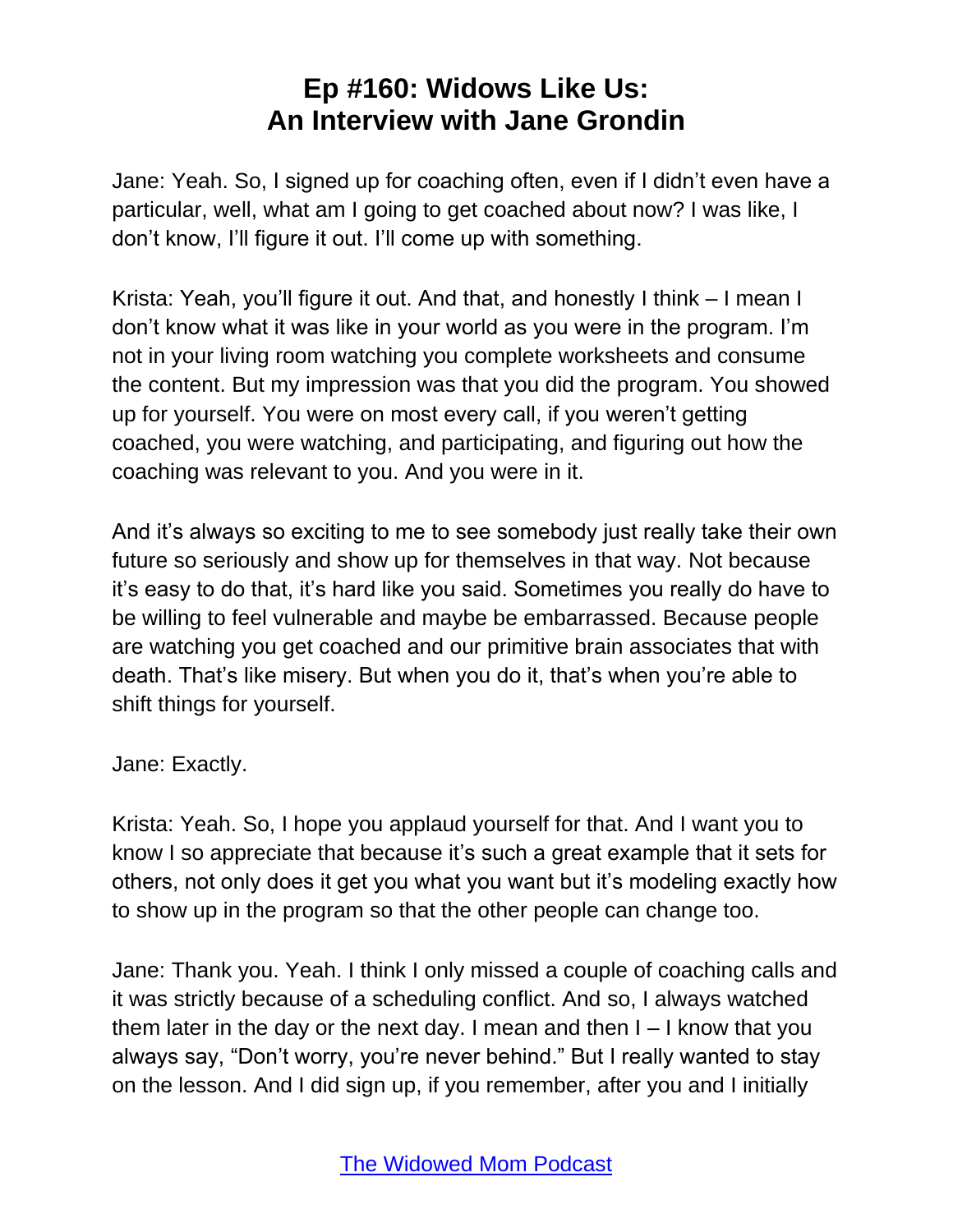Jane: Yeah. So, I signed up for coaching often, even if I didn't even have a particular, well, what am I going to get coached about now? I was like, I don't know, I'll figure it out. I'll come up with something.

Krista: Yeah, you'll figure it out. And that, and honestly I think – I mean I don't know what it was like in your world as you were in the program. I'm not in your living room watching you complete worksheets and consume the content. But my impression was that you did the program. You showed up for yourself. You were on most every call, if you weren't getting coached, you were watching, and participating, and figuring out how the coaching was relevant to you. And you were in it.

And it's always so exciting to me to see somebody just really take their own future so seriously and show up for themselves in that way. Not because it's easy to do that, it's hard like you said. Sometimes you really do have to be willing to feel vulnerable and maybe be embarrassed. Because people are watching you get coached and our primitive brain associates that with death. That's like misery. But when you do it, that's when you're able to shift things for yourself.

Jane: Exactly.

Krista: Yeah. So, I hope you applaud yourself for that. And I want you to know I so appreciate that because it's such a great example that it sets for others, not only does it get you what you want but it's modeling exactly how to show up in the program so that the other people can change too.

Jane: Thank you. Yeah. I think I only missed a couple of coaching calls and it was strictly because of a scheduling conflict. And so, I always watched them later in the day or the next day. I mean and then I – I know that you always say, "Don't worry, you're never behind." But I really wanted to stay on the lesson. And I did sign up, if you remember, after you and I initially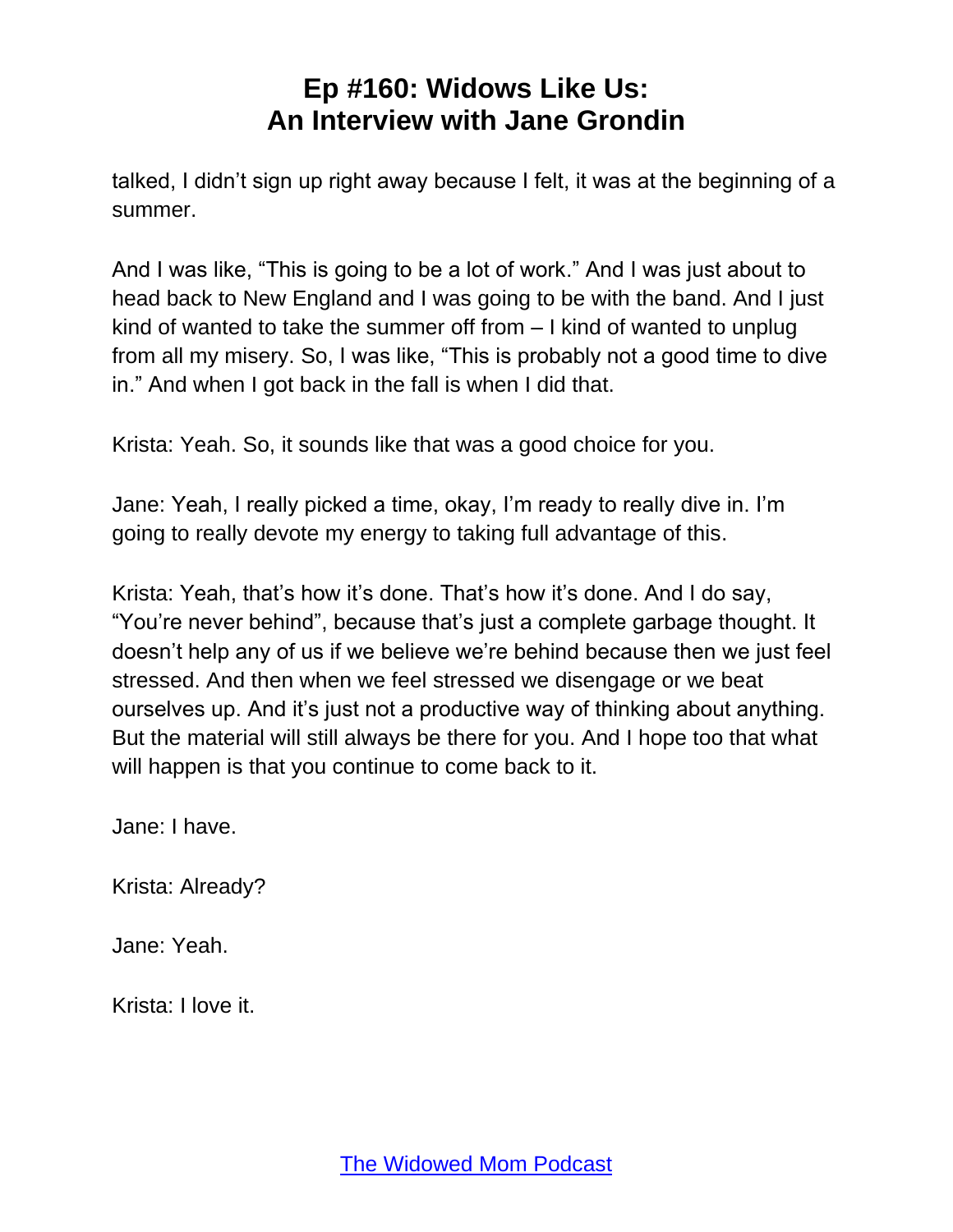talked, I didn't sign up right away because I felt, it was at the beginning of a summer.

And I was like, "This is going to be a lot of work." And I was just about to head back to New England and I was going to be with the band. And I just kind of wanted to take the summer off from – I kind of wanted to unplug from all my misery. So, I was like, "This is probably not a good time to dive in." And when I got back in the fall is when I did that.

Krista: Yeah. So, it sounds like that was a good choice for you.

Jane: Yeah, I really picked a time, okay, I'm ready to really dive in. I'm going to really devote my energy to taking full advantage of this.

Krista: Yeah, that's how it's done. That's how it's done. And I do say, "You're never behind", because that's just a complete garbage thought. It doesn't help any of us if we believe we're behind because then we just feel stressed. And then when we feel stressed we disengage or we beat ourselves up. And it's just not a productive way of thinking about anything. But the material will still always be there for you. And I hope too that what will happen is that you continue to come back to it.

Jane: I have.

Krista: Already?

Jane: Yeah.

Krista: I love it.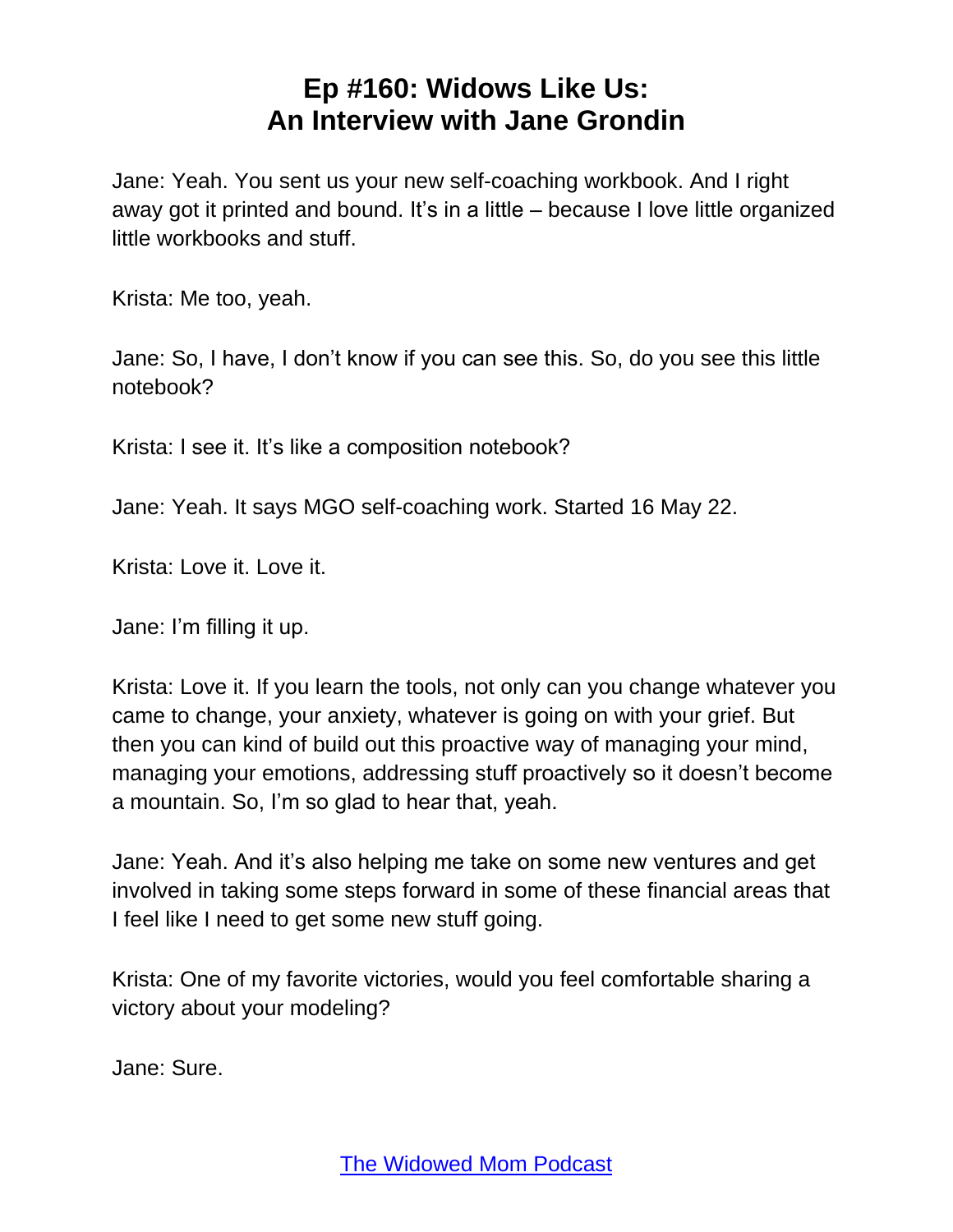Jane: Yeah. You sent us your new self-coaching workbook. And I right away got it printed and bound. It's in a little – because I love little organized little workbooks and stuff.

Krista: Me too, yeah.

Jane: So, I have, I don't know if you can see this. So, do you see this little notebook?

Krista: I see it. It's like a composition notebook?

Jane: Yeah. It says MGO self-coaching work. Started 16 May 22.

Krista: Love it. Love it.

Jane: I'm filling it up.

Krista: Love it. If you learn the tools, not only can you change whatever you came to change, your anxiety, whatever is going on with your grief. But then you can kind of build out this proactive way of managing your mind, managing your emotions, addressing stuff proactively so it doesn't become a mountain. So, I'm so glad to hear that, yeah.

Jane: Yeah. And it's also helping me take on some new ventures and get involved in taking some steps forward in some of these financial areas that I feel like I need to get some new stuff going.

Krista: One of my favorite victories, would you feel comfortable sharing a victory about your modeling?

Jane: Sure.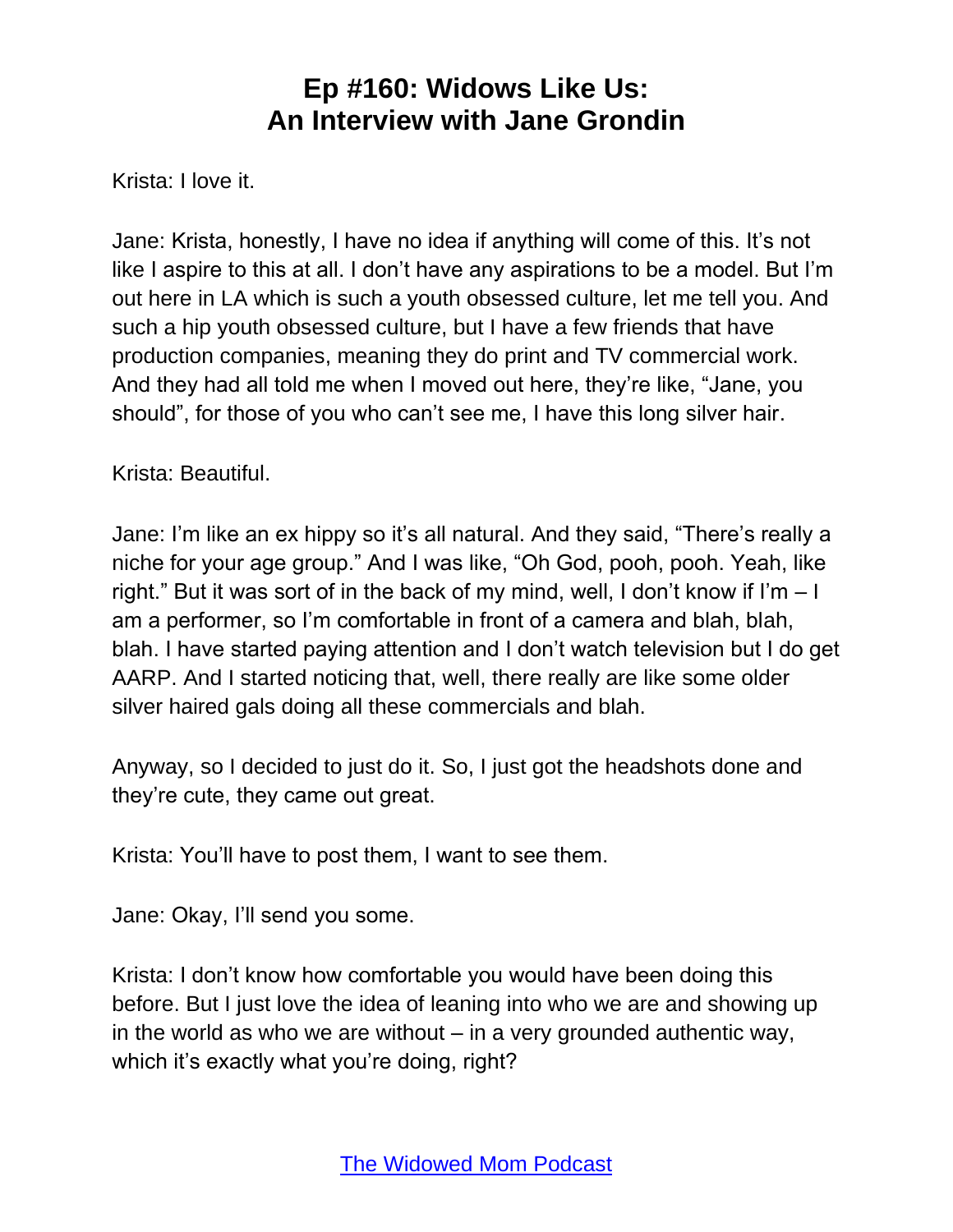Krista: I love it.

Jane: Krista, honestly, I have no idea if anything will come of this. It's not like I aspire to this at all. I don't have any aspirations to be a model. But I'm out here in LA which is such a youth obsessed culture, let me tell you. And such a hip youth obsessed culture, but I have a few friends that have production companies, meaning they do print and TV commercial work. And they had all told me when I moved out here, they're like, "Jane, you should", for those of you who can't see me, I have this long silver hair.

Krista: Beautiful.

Jane: I'm like an ex hippy so it's all natural. And they said, "There's really a niche for your age group." And I was like, "Oh God, pooh, pooh. Yeah, like right." But it was sort of in the back of my mind, well, I don't know if I'm – I am a performer, so I'm comfortable in front of a camera and blah, blah, blah. I have started paying attention and I don't watch television but I do get AARP. And I started noticing that, well, there really are like some older silver haired gals doing all these commercials and blah.

Anyway, so I decided to just do it. So, I just got the headshots done and they're cute, they came out great.

Krista: You'll have to post them, I want to see them.

Jane: Okay, I'll send you some.

Krista: I don't know how comfortable you would have been doing this before. But I just love the idea of leaning into who we are and showing up in the world as who we are without – in a very grounded authentic way, which it's exactly what you're doing, right?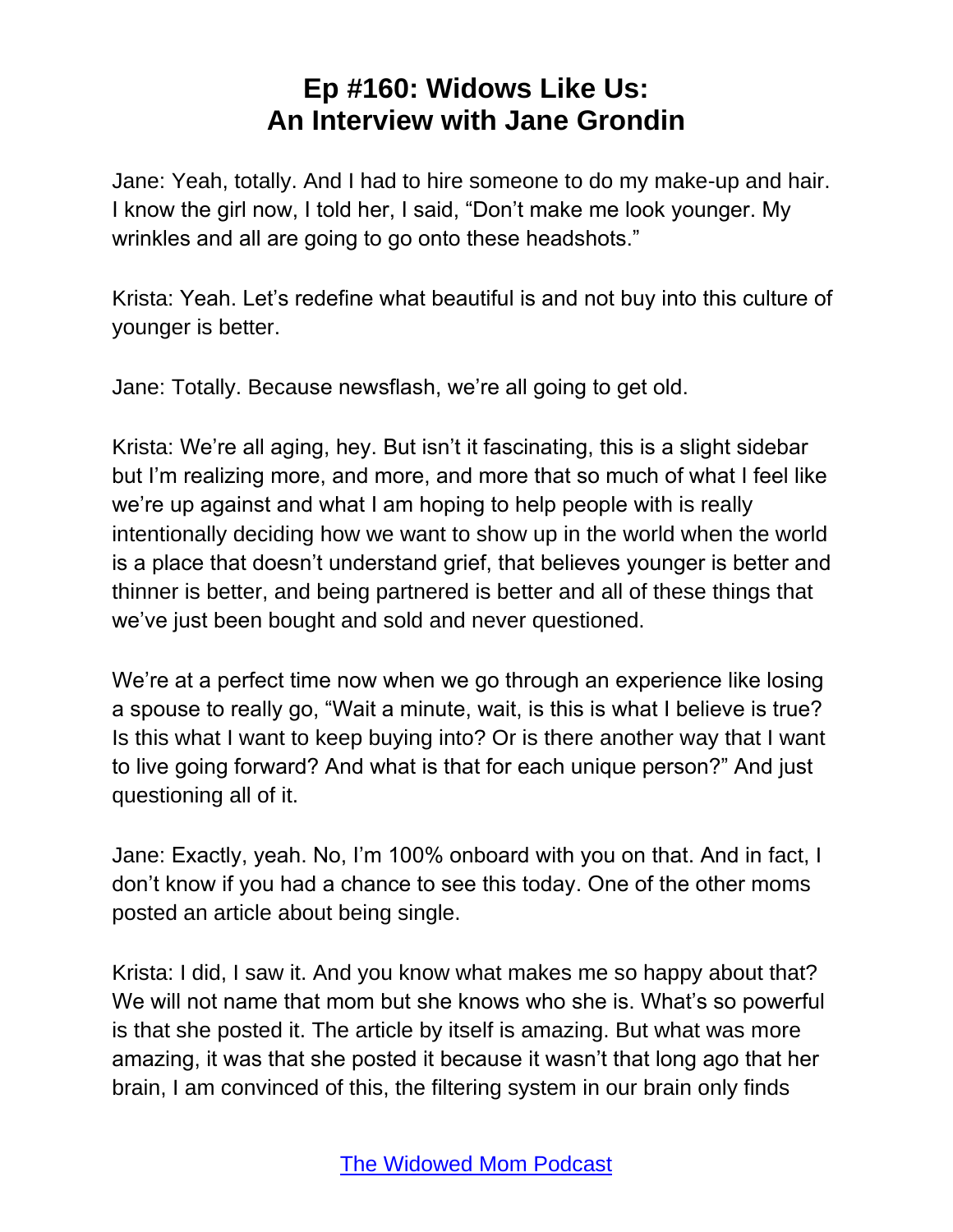Jane: Yeah, totally. And I had to hire someone to do my make-up and hair. I know the girl now, I told her, I said, "Don't make me look younger. My wrinkles and all are going to go onto these headshots."

Krista: Yeah. Let's redefine what beautiful is and not buy into this culture of younger is better.

Jane: Totally. Because newsflash, we're all going to get old.

Krista: We're all aging, hey. But isn't it fascinating, this is a slight sidebar but I'm realizing more, and more, and more that so much of what I feel like we're up against and what I am hoping to help people with is really intentionally deciding how we want to show up in the world when the world is a place that doesn't understand grief, that believes younger is better and thinner is better, and being partnered is better and all of these things that we've just been bought and sold and never questioned.

We're at a perfect time now when we go through an experience like losing a spouse to really go, "Wait a minute, wait, is this is what I believe is true? Is this what I want to keep buying into? Or is there another way that I want to live going forward? And what is that for each unique person?" And just questioning all of it.

Jane: Exactly, yeah. No, I'm 100% onboard with you on that. And in fact, I don't know if you had a chance to see this today. One of the other moms posted an article about being single.

Krista: I did, I saw it. And you know what makes me so happy about that? We will not name that mom but she knows who she is. What's so powerful is that she posted it. The article by itself is amazing. But what was more amazing, it was that she posted it because it wasn't that long ago that her brain, I am convinced of this, the filtering system in our brain only finds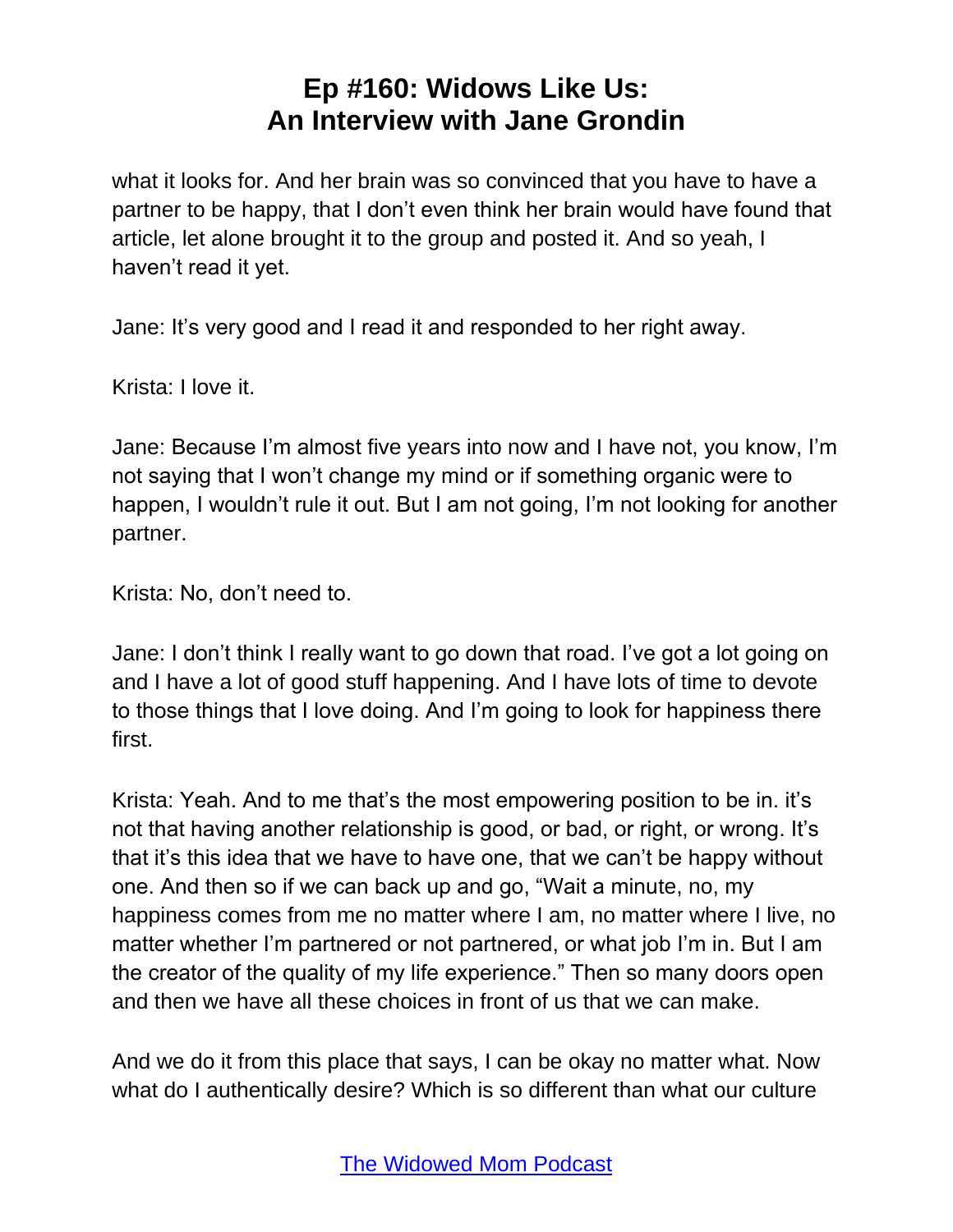what it looks for. And her brain was so convinced that you have to have a partner to be happy, that I don't even think her brain would have found that article, let alone brought it to the group and posted it. And so yeah, I haven't read it yet.

Jane: It's very good and I read it and responded to her right away.

Krista: I love it.

Jane: Because I'm almost five years into now and I have not, you know, I'm not saying that I won't change my mind or if something organic were to happen, I wouldn't rule it out. But I am not going, I'm not looking for another partner.

Krista: No, don't need to.

Jane: I don't think I really want to go down that road. I've got a lot going on and I have a lot of good stuff happening. And I have lots of time to devote to those things that I love doing. And I'm going to look for happiness there first.

Krista: Yeah. And to me that's the most empowering position to be in. it's not that having another relationship is good, or bad, or right, or wrong. It's that it's this idea that we have to have one, that we can't be happy without one. And then so if we can back up and go, "Wait a minute, no, my happiness comes from me no matter where I am, no matter where I live, no matter whether I'm partnered or not partnered, or what job I'm in. But I am the creator of the quality of my life experience." Then so many doors open and then we have all these choices in front of us that we can make.

And we do it from this place that says, I can be okay no matter what. Now what do I authentically desire? Which is so different than what our culture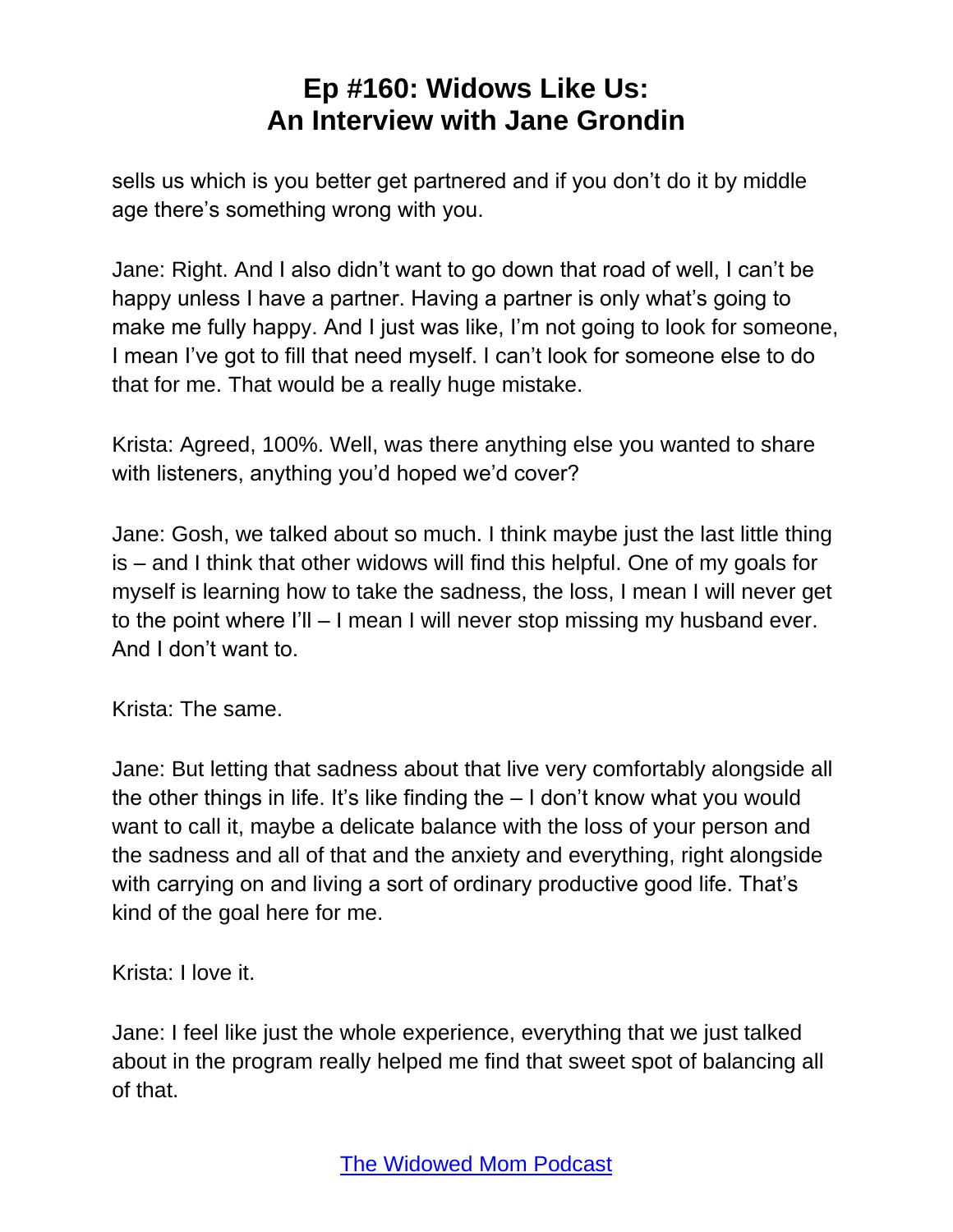sells us which is you better get partnered and if you don't do it by middle age there's something wrong with you.

Jane: Right. And I also didn't want to go down that road of well, I can't be happy unless I have a partner. Having a partner is only what's going to make me fully happy. And I just was like, I'm not going to look for someone, I mean I've got to fill that need myself. I can't look for someone else to do that for me. That would be a really huge mistake.

Krista: Agreed, 100%. Well, was there anything else you wanted to share with listeners, anything you'd hoped we'd cover?

Jane: Gosh, we talked about so much. I think maybe just the last little thing is – and I think that other widows will find this helpful. One of my goals for myself is learning how to take the sadness, the loss, I mean I will never get to the point where I'll – I mean I will never stop missing my husband ever. And I don't want to.

Krista: The same.

Jane: But letting that sadness about that live very comfortably alongside all the other things in life. It's like finding the – I don't know what you would want to call it, maybe a delicate balance with the loss of your person and the sadness and all of that and the anxiety and everything, right alongside with carrying on and living a sort of ordinary productive good life. That's kind of the goal here for me.

Krista: I love it.

Jane: I feel like just the whole experience, everything that we just talked about in the program really helped me find that sweet spot of balancing all of that.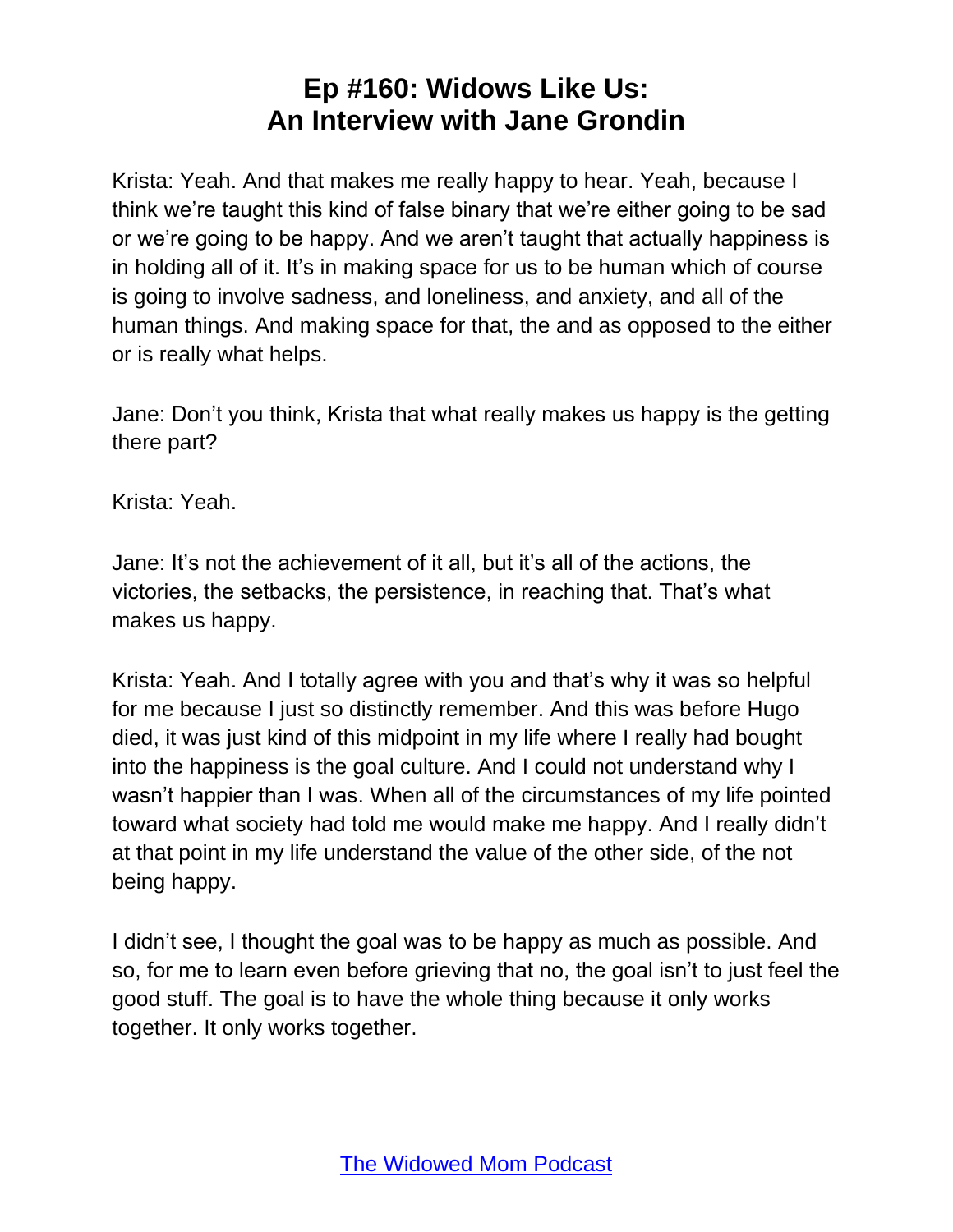Krista: Yeah. And that makes me really happy to hear. Yeah, because I think we're taught this kind of false binary that we're either going to be sad or we're going to be happy. And we aren't taught that actually happiness is in holding all of it. It's in making space for us to be human which of course is going to involve sadness, and loneliness, and anxiety, and all of the human things. And making space for that, the and as opposed to the either or is really what helps.

Jane: Don't you think, Krista that what really makes us happy is the getting there part?

Krista: Yeah.

Jane: It's not the achievement of it all, but it's all of the actions, the victories, the setbacks, the persistence, in reaching that. That's what makes us happy.

Krista: Yeah. And I totally agree with you and that's why it was so helpful for me because I just so distinctly remember. And this was before Hugo died, it was just kind of this midpoint in my life where I really had bought into the happiness is the goal culture. And I could not understand why I wasn't happier than I was. When all of the circumstances of my life pointed toward what society had told me would make me happy. And I really didn't at that point in my life understand the value of the other side, of the not being happy.

I didn't see, I thought the goal was to be happy as much as possible. And so, for me to learn even before grieving that no, the goal isn't to just feel the good stuff. The goal is to have the whole thing because it only works together. It only works together.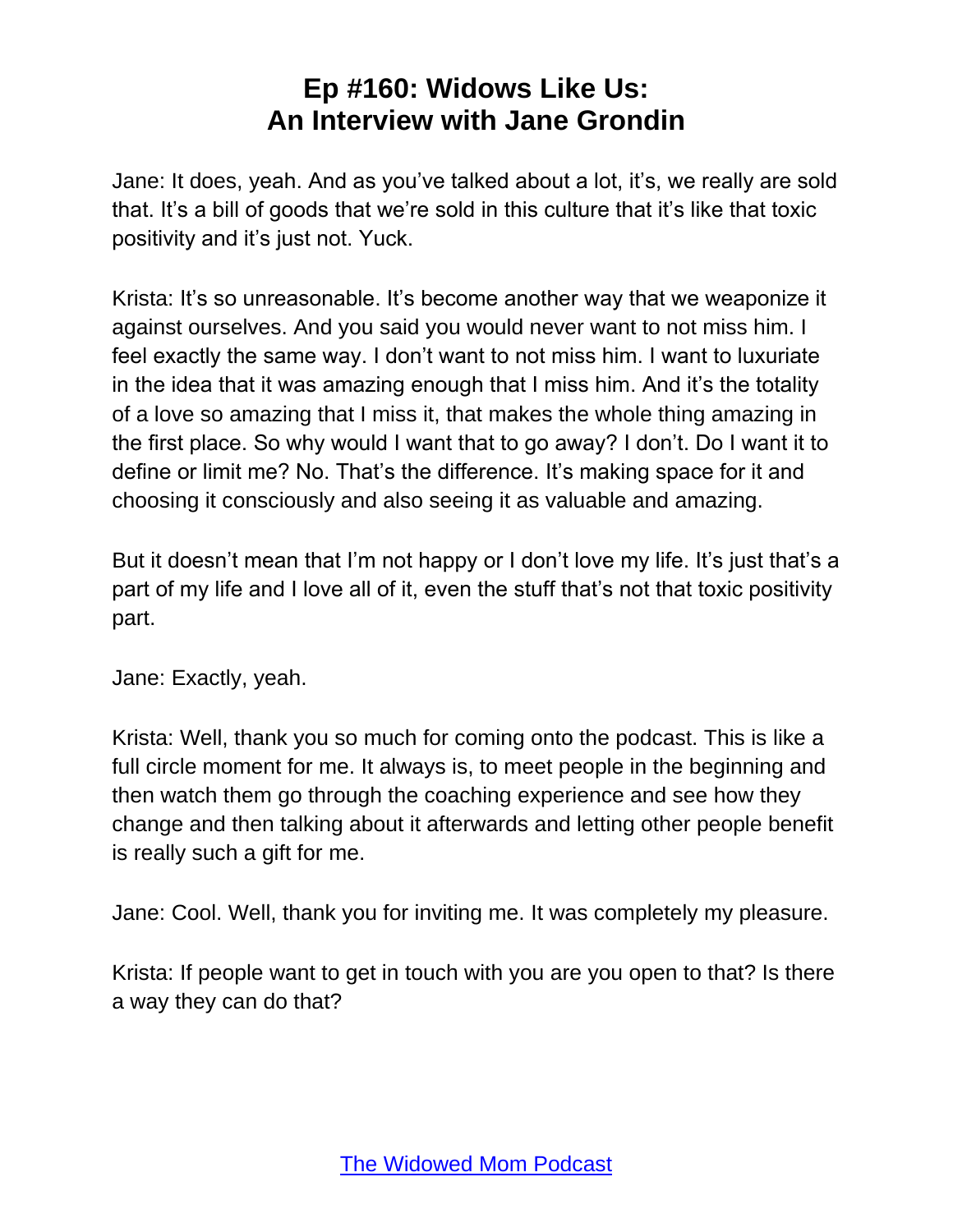Jane: It does, yeah. And as you've talked about a lot, it's, we really are sold that. It's a bill of goods that we're sold in this culture that it's like that toxic positivity and it's just not. Yuck.

Krista: It's so unreasonable. It's become another way that we weaponize it against ourselves. And you said you would never want to not miss him. I feel exactly the same way. I don't want to not miss him. I want to luxuriate in the idea that it was amazing enough that I miss him. And it's the totality of a love so amazing that I miss it, that makes the whole thing amazing in the first place. So why would I want that to go away? I don't. Do I want it to define or limit me? No. That's the difference. It's making space for it and choosing it consciously and also seeing it as valuable and amazing.

But it doesn't mean that I'm not happy or I don't love my life. It's just that's a part of my life and I love all of it, even the stuff that's not that toxic positivity part.

Jane: Exactly, yeah.

Krista: Well, thank you so much for coming onto the podcast. This is like a full circle moment for me. It always is, to meet people in the beginning and then watch them go through the coaching experience and see how they change and then talking about it afterwards and letting other people benefit is really such a gift for me.

Jane: Cool. Well, thank you for inviting me. It was completely my pleasure.

Krista: If people want to get in touch with you are you open to that? Is there a way they can do that?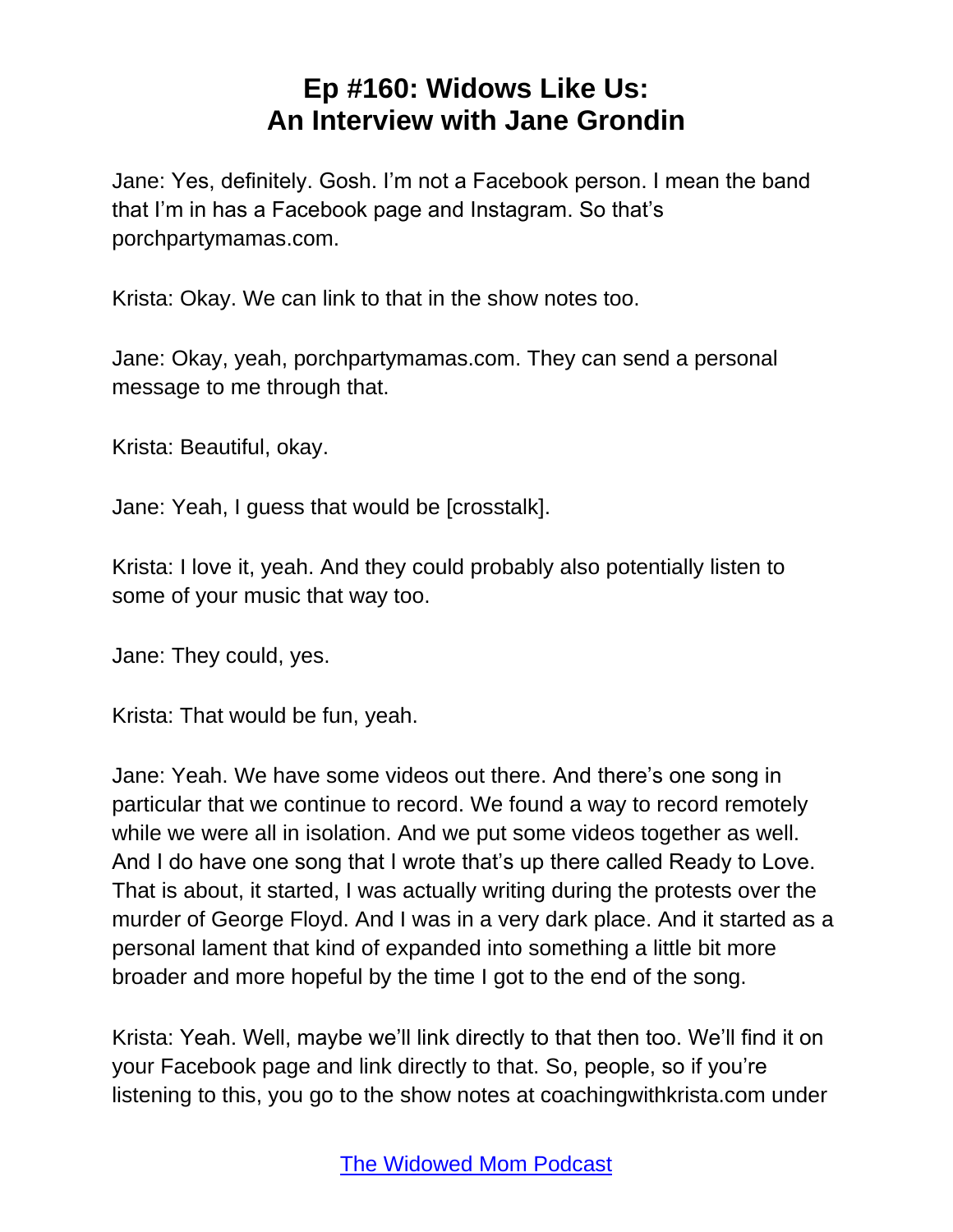Jane: Yes, definitely. Gosh. I'm not a Facebook person. I mean the band that I'm in has a Facebook page and Instagram. So that's porchpartymamas.com.

Krista: Okay. We can link to that in the show notes too.

Jane: Okay, yeah, porchpartymamas.com. They can send a personal message to me through that.

Krista: Beautiful, okay.

Jane: Yeah, I guess that would be [crosstalk].

Krista: I love it, yeah. And they could probably also potentially listen to some of your music that way too.

Jane: They could, yes.

Krista: That would be fun, yeah.

Jane: Yeah. We have some videos out there. And there's one song in particular that we continue to record. We found a way to record remotely while we were all in isolation. And we put some videos together as well. And I do have one song that I wrote that's up there called Ready to Love. That is about, it started, I was actually writing during the protests over the murder of George Floyd. And I was in a very dark place. And it started as a personal lament that kind of expanded into something a little bit more broader and more hopeful by the time I got to the end of the song.

Krista: Yeah. Well, maybe we'll link directly to that then too. We'll find it on your Facebook page and link directly to that. So, people, so if you're listening to this, you go to the show notes at coachingwithkrista.com under